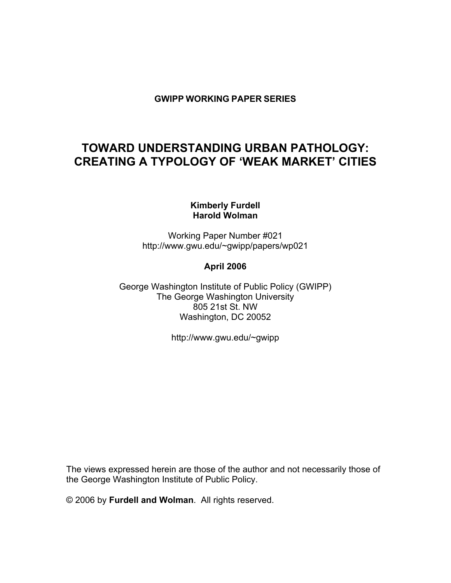## **GWIPP WORKING PAPER SERIES**

# **TOWARD UNDERSTANDING URBAN PATHOLOGY: CREATING A TYPOLOGY OF 'WEAK MARKET' CITIES**

### **Kimberly Furdell Harold Wolman**

Working Paper Number #021 http://www.gwu.edu/~gwipp/papers/wp021

### **April 2006**

George Washington Institute of Public Policy (GWIPP) The George Washington University 805 21st St. NW Washington, DC 20052

http://www.gwu.edu/~gwipp

The views expressed herein are those of the author and not necessarily those of the George Washington Institute of Public Policy.

© 2006 by **Furdell and Wolman**. All rights reserved.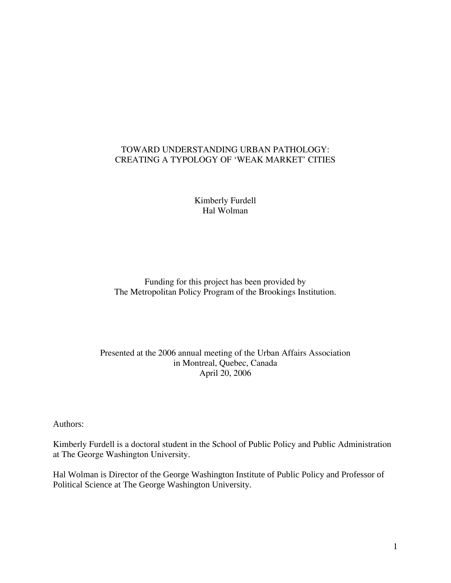## TOWARD UNDERSTANDING URBAN PATHOLOGY: CREATING A TYPOLOGY OF 'WEAK MARKET' CITIES

Kimberly Furdell Hal Wolman

Funding for this project has been provided by The Metropolitan Policy Program of the Brookings Institution.

### Presented at the 2006 annual meeting of the Urban Affairs Association in Montreal, Quebec, Canada April 20, 2006

Authors:

Kimberly Furdell is a doctoral student in the School of Public Policy and Public Administration at The George Washington University.

Hal Wolman is Director of the George Washington Institute of Public Policy and Professor of Political Science at The George Washington University.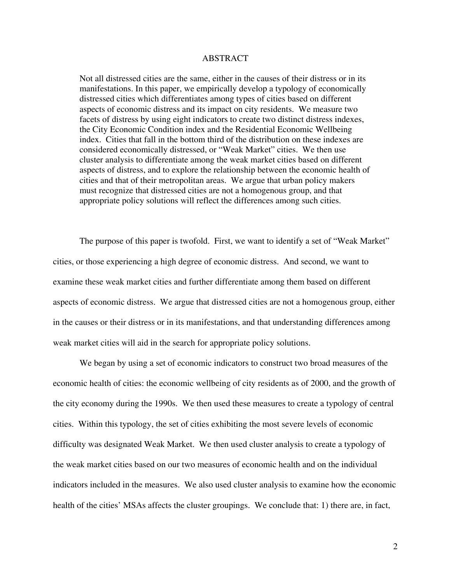#### ABSTRACT

Not all distressed cities are the same, either in the causes of their distress or in its manifestations. In this paper, we empirically develop a typology of economically distressed cities which differentiates among types of cities based on different aspects of economic distress and its impact on city residents. We measure two facets of distress by using eight indicators to create two distinct distress indexes, the City Economic Condition index and the Residential Economic Wellbeing index. Cities that fall in the bottom third of the distribution on these indexes are considered economically distressed, or "Weak Market" cities. We then use cluster analysis to differentiate among the weak market cities based on different aspects of distress, and to explore the relationship between the economic health of cities and that of their metropolitan areas. We argue that urban policy makers must recognize that distressed cities are not a homogenous group, and that appropriate policy solutions will reflect the differences among such cities.

The purpose of this paper is twofold. First, we want to identify a set of "Weak Market" cities, or those experiencing a high degree of economic distress. And second, we want to examine these weak market cities and further differentiate among them based on different aspects of economic distress. We argue that distressed cities are not a homogenous group, either in the causes or their distress or in its manifestations, and that understanding differences among weak market cities will aid in the search for appropriate policy solutions.

We began by using a set of economic indicators to construct two broad measures of the economic health of cities: the economic wellbeing of city residents as of 2000, and the growth of the city economy during the 1990s. We then used these measures to create a typology of central cities. Within this typology, the set of cities exhibiting the most severe levels of economic difficulty was designated Weak Market. We then used cluster analysis to create a typology of the weak market cities based on our two measures of economic health and on the individual indicators included in the measures. We also used cluster analysis to examine how the economic health of the cities' MSAs affects the cluster groupings. We conclude that: 1) there are, in fact,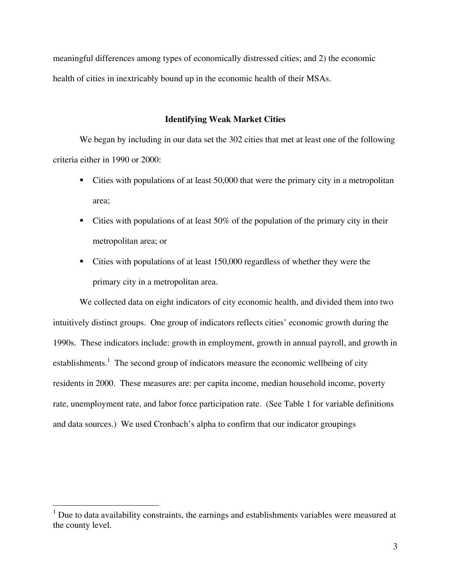meaningful differences among types of economically distressed cities; and 2) the economic health of cities in inextricably bound up in the economic health of their MSAs.

#### **Identifying Weak Market Cities**

We began by including in our data set the 302 cities that met at least one of the following criteria either in 1990 or 2000:

- Cities with populations of at least 50,000 that were the primary city in a metropolitan area;
- Cities with populations of at least  $50\%$  of the population of the primary city in their metropolitan area; or
- Cities with populations of at least 150,000 regardless of whether they were the primary city in a metropolitan area.

 We collected data on eight indicators of city economic health, and divided them into two intuitively distinct groups. One group of indicators reflects cities' economic growth during the 1990s. These indicators include: growth in employment, growth in annual payroll, and growth in establishments.<sup>1</sup> The second group of indicators measure the economic wellbeing of city residents in 2000. These measures are: per capita income, median household income, poverty rate, unemployment rate, and labor force participation rate. (See Table 1 for variable definitions and data sources.) We used Cronbach's alpha to confirm that our indicator groupings

 $\overline{a}$ 

 $1$  Due to data availability constraints, the earnings and establishments variables were measured at the county level.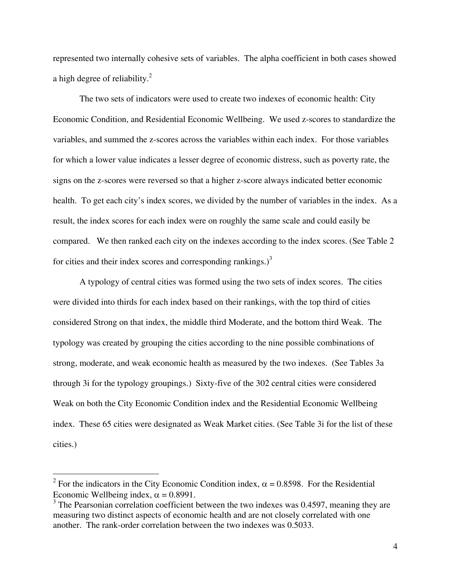represented two internally cohesive sets of variables. The alpha coefficient in both cases showed a high degree of reliability. $^{2}$ 

 The two sets of indicators were used to create two indexes of economic health: City Economic Condition, and Residential Economic Wellbeing. We used z-scores to standardize the variables, and summed the z-scores across the variables within each index. For those variables for which a lower value indicates a lesser degree of economic distress, such as poverty rate, the signs on the z-scores were reversed so that a higher z-score always indicated better economic health. To get each city's index scores, we divided by the number of variables in the index. As a result, the index scores for each index were on roughly the same scale and could easily be compared. We then ranked each city on the indexes according to the index scores. (See Table 2) for cities and their index scores and corresponding rankings.) $3$ 

 A typology of central cities was formed using the two sets of index scores. The cities were divided into thirds for each index based on their rankings, with the top third of cities considered Strong on that index, the middle third Moderate, and the bottom third Weak. The typology was created by grouping the cities according to the nine possible combinations of strong, moderate, and weak economic health as measured by the two indexes. (See Tables 3a through 3i for the typology groupings.) Sixty-five of the 302 central cities were considered Weak on both the City Economic Condition index and the Residential Economic Wellbeing index. These 65 cities were designated as Weak Market cities. (See Table 3i for the list of these cities.)

 $\overline{a}$ 

<sup>&</sup>lt;sup>2</sup> For the indicators in the City Economic Condition index,  $\alpha$  = 0.8598. For the Residential Economic Wellbeing index,  $\alpha = 0.8991$ .

<sup>&</sup>lt;sup>3</sup> The Pearsonian correlation coefficient between the two indexes was 0.4597, meaning they are measuring two distinct aspects of economic health and are not closely correlated with one another. The rank-order correlation between the two indexes was 0.5033.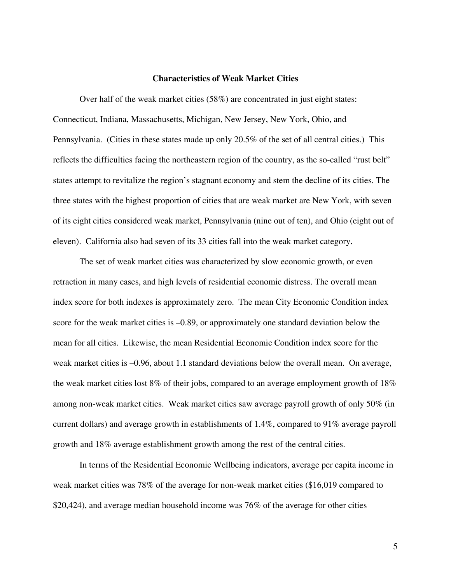#### **Characteristics of Weak Market Cities**

 Over half of the weak market cities (58%) are concentrated in just eight states: Connecticut, Indiana, Massachusetts, Michigan, New Jersey, New York, Ohio, and Pennsylvania. (Cities in these states made up only 20.5% of the set of all central cities.) This reflects the difficulties facing the northeastern region of the country, as the so-called "rust belt" states attempt to revitalize the region's stagnant economy and stem the decline of its cities. The three states with the highest proportion of cities that are weak market are New York, with seven of its eight cities considered weak market, Pennsylvania (nine out of ten), and Ohio (eight out of eleven). California also had seven of its 33 cities fall into the weak market category.

 The set of weak market cities was characterized by slow economic growth, or even retraction in many cases, and high levels of residential economic distress. The overall mean index score for both indexes is approximately zero. The mean City Economic Condition index score for the weak market cities is –0.89, or approximately one standard deviation below the mean for all cities. Likewise, the mean Residential Economic Condition index score for the weak market cities is –0.96, about 1.1 standard deviations below the overall mean. On average, the weak market cities lost 8% of their jobs, compared to an average employment growth of 18% among non-weak market cities. Weak market cities saw average payroll growth of only 50% (in current dollars) and average growth in establishments of 1.4%, compared to 91% average payroll growth and 18% average establishment growth among the rest of the central cities.

 In terms of the Residential Economic Wellbeing indicators, average per capita income in weak market cities was 78% of the average for non-weak market cities (\$16,019 compared to \$20,424), and average median household income was 76% of the average for other cities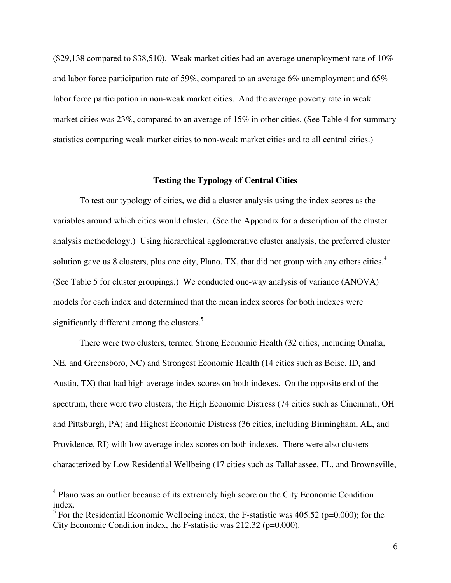(\$29,138 compared to \$38,510). Weak market cities had an average unemployment rate of 10% and labor force participation rate of 59%, compared to an average 6% unemployment and 65% labor force participation in non-weak market cities. And the average poverty rate in weak market cities was 23%, compared to an average of 15% in other cities. (See Table 4 for summary statistics comparing weak market cities to non-weak market cities and to all central cities.)

#### **Testing the Typology of Central Cities**

 To test our typology of cities, we did a cluster analysis using the index scores as the variables around which cities would cluster. (See the Appendix for a description of the cluster analysis methodology.) Using hierarchical agglomerative cluster analysis, the preferred cluster solution gave us 8 clusters, plus one city, Plano, TX, that did not group with any others cities. $4$ (See Table 5 for cluster groupings.) We conducted one-way analysis of variance (ANOVA) models for each index and determined that the mean index scores for both indexes were significantly different among the clusters.<sup>5</sup>

There were two clusters, termed Strong Economic Health (32 cities, including Omaha, NE, and Greensboro, NC) and Strongest Economic Health (14 cities such as Boise, ID, and Austin, TX) that had high average index scores on both indexes. On the opposite end of the spectrum, there were two clusters, the High Economic Distress (74 cities such as Cincinnati, OH and Pittsburgh, PA) and Highest Economic Distress (36 cities, including Birmingham, AL, and Providence, RI) with low average index scores on both indexes. There were also clusters characterized by Low Residential Wellbeing (17 cities such as Tallahassee, FL, and Brownsville,

 $\overline{a}$ 

<sup>&</sup>lt;sup>4</sup> Plano was an outlier because of its extremely high score on the City Economic Condition index.

<sup>&</sup>lt;sup>5</sup> For the Residential Economic Wellbeing index, the F-statistic was  $405.52$  (p=0.000); for the City Economic Condition index, the F-statistic was 212.32 (p=0.000).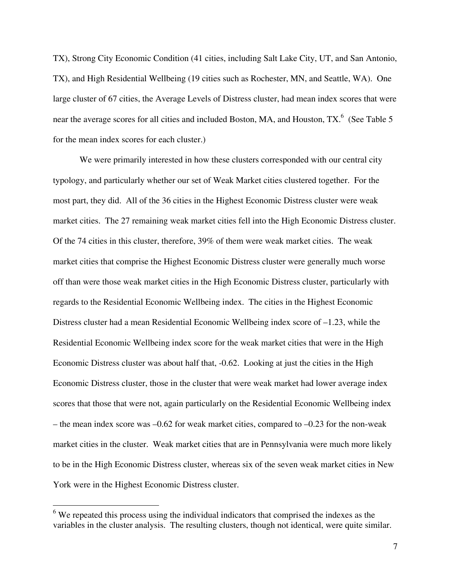TX), Strong City Economic Condition (41 cities, including Salt Lake City, UT, and San Antonio, TX), and High Residential Wellbeing (19 cities such as Rochester, MN, and Seattle, WA). One large cluster of 67 cities, the Average Levels of Distress cluster, had mean index scores that were near the average scores for all cities and included Boston, MA, and Houston, TX.<sup>6</sup> (See Table 5) for the mean index scores for each cluster.)

We were primarily interested in how these clusters corresponded with our central city typology, and particularly whether our set of Weak Market cities clustered together. For the most part, they did. All of the 36 cities in the Highest Economic Distress cluster were weak market cities. The 27 remaining weak market cities fell into the High Economic Distress cluster. Of the 74 cities in this cluster, therefore, 39% of them were weak market cities. The weak market cities that comprise the Highest Economic Distress cluster were generally much worse off than were those weak market cities in the High Economic Distress cluster, particularly with regards to the Residential Economic Wellbeing index. The cities in the Highest Economic Distress cluster had a mean Residential Economic Wellbeing index score of –1.23, while the Residential Economic Wellbeing index score for the weak market cities that were in the High Economic Distress cluster was about half that, -0.62. Looking at just the cities in the High Economic Distress cluster, those in the cluster that were weak market had lower average index scores that those that were not, again particularly on the Residential Economic Wellbeing index – the mean index score was  $-0.62$  for weak market cities, compared to  $-0.23$  for the non-weak market cities in the cluster. Weak market cities that are in Pennsylvania were much more likely to be in the High Economic Distress cluster, whereas six of the seven weak market cities in New York were in the Highest Economic Distress cluster.

 $\overline{a}$ 

 $6$  We repeated this process using the individual indicators that comprised the indexes as the variables in the cluster analysis. The resulting clusters, though not identical, were quite similar.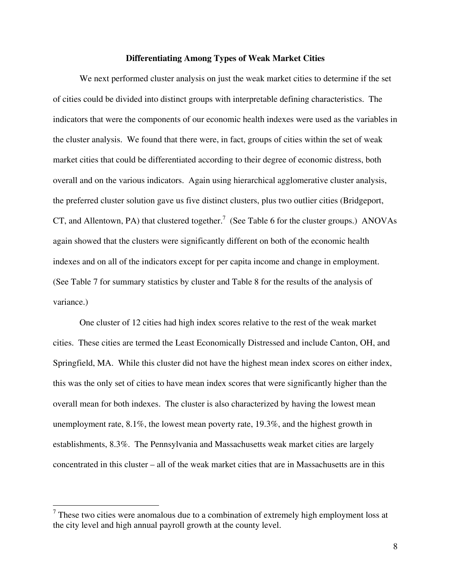#### **Differentiating Among Types of Weak Market Cities**

 We next performed cluster analysis on just the weak market cities to determine if the set of cities could be divided into distinct groups with interpretable defining characteristics. The indicators that were the components of our economic health indexes were used as the variables in the cluster analysis. We found that there were, in fact, groups of cities within the set of weak market cities that could be differentiated according to their degree of economic distress, both overall and on the various indicators. Again using hierarchical agglomerative cluster analysis, the preferred cluster solution gave us five distinct clusters, plus two outlier cities (Bridgeport, CT, and Allentown, PA) that clustered together.<sup>7</sup> (See Table 6 for the cluster groups.) ANOVAs again showed that the clusters were significantly different on both of the economic health indexes and on all of the indicators except for per capita income and change in employment. (See Table 7 for summary statistics by cluster and Table 8 for the results of the analysis of variance.)

 One cluster of 12 cities had high index scores relative to the rest of the weak market cities. These cities are termed the Least Economically Distressed and include Canton, OH, and Springfield, MA. While this cluster did not have the highest mean index scores on either index, this was the only set of cities to have mean index scores that were significantly higher than the overall mean for both indexes. The cluster is also characterized by having the lowest mean unemployment rate, 8.1%, the lowest mean poverty rate, 19.3%, and the highest growth in establishments, 8.3%. The Pennsylvania and Massachusetts weak market cities are largely concentrated in this cluster – all of the weak market cities that are in Massachusetts are in this

1

 $<sup>7</sup>$  These two cities were anomalous due to a combination of extremely high employment loss at</sup> the city level and high annual payroll growth at the county level.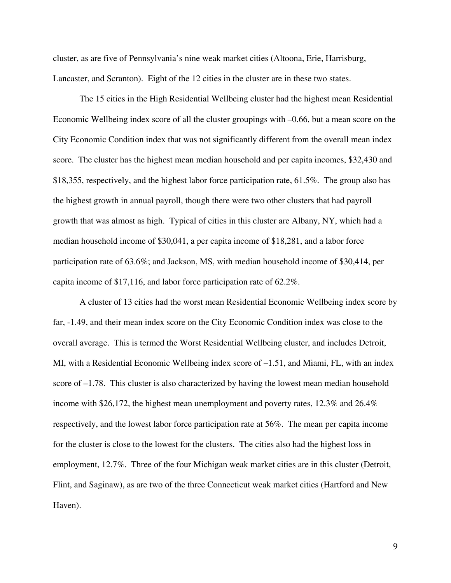cluster, as are five of Pennsylvania's nine weak market cities (Altoona, Erie, Harrisburg, Lancaster, and Scranton). Eight of the 12 cities in the cluster are in these two states.

 The 15 cities in the High Residential Wellbeing cluster had the highest mean Residential Economic Wellbeing index score of all the cluster groupings with –0.66, but a mean score on the City Economic Condition index that was not significantly different from the overall mean index score. The cluster has the highest mean median household and per capita incomes, \$32,430 and \$18,355, respectively, and the highest labor force participation rate, 61.5%. The group also has the highest growth in annual payroll, though there were two other clusters that had payroll growth that was almost as high. Typical of cities in this cluster are Albany, NY, which had a median household income of \$30,041, a per capita income of \$18,281, and a labor force participation rate of 63.6%; and Jackson, MS, with median household income of \$30,414, per capita income of \$17,116, and labor force participation rate of 62.2%.

 A cluster of 13 cities had the worst mean Residential Economic Wellbeing index score by far, -1.49, and their mean index score on the City Economic Condition index was close to the overall average. This is termed the Worst Residential Wellbeing cluster, and includes Detroit, MI, with a Residential Economic Wellbeing index score of –1.51, and Miami, FL, with an index score of –1.78. This cluster is also characterized by having the lowest mean median household income with \$26,172, the highest mean unemployment and poverty rates, 12.3% and 26.4% respectively, and the lowest labor force participation rate at 56%. The mean per capita income for the cluster is close to the lowest for the clusters. The cities also had the highest loss in employment, 12.7%. Three of the four Michigan weak market cities are in this cluster (Detroit, Flint, and Saginaw), as are two of the three Connecticut weak market cities (Hartford and New Haven).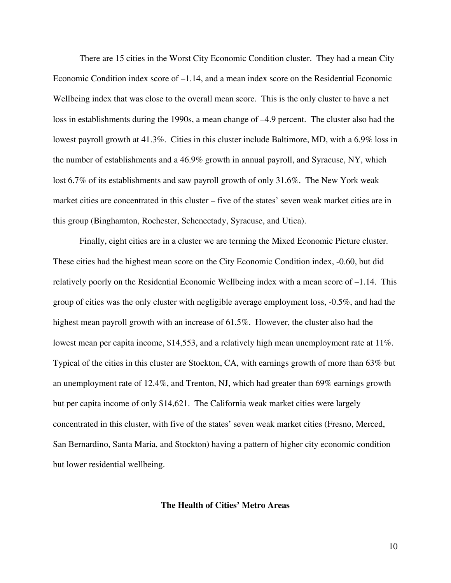There are 15 cities in the Worst City Economic Condition cluster. They had a mean City Economic Condition index score of  $-1.14$ , and a mean index score on the Residential Economic Wellbeing index that was close to the overall mean score. This is the only cluster to have a net loss in establishments during the 1990s, a mean change of –4.9 percent. The cluster also had the lowest payroll growth at 41.3%. Cities in this cluster include Baltimore, MD, with a 6.9% loss in the number of establishments and a 46.9% growth in annual payroll, and Syracuse, NY, which lost 6.7% of its establishments and saw payroll growth of only 31.6%. The New York weak market cities are concentrated in this cluster – five of the states' seven weak market cities are in this group (Binghamton, Rochester, Schenectady, Syracuse, and Utica).

 Finally, eight cities are in a cluster we are terming the Mixed Economic Picture cluster. These cities had the highest mean score on the City Economic Condition index, -0.60, but did relatively poorly on the Residential Economic Wellbeing index with a mean score of –1.14. This group of cities was the only cluster with negligible average employment loss, -0.5%, and had the highest mean payroll growth with an increase of 61.5%. However, the cluster also had the lowest mean per capita income, \$14,553, and a relatively high mean unemployment rate at 11%. Typical of the cities in this cluster are Stockton, CA, with earnings growth of more than 63% but an unemployment rate of 12.4%, and Trenton, NJ, which had greater than 69% earnings growth but per capita income of only \$14,621. The California weak market cities were largely concentrated in this cluster, with five of the states' seven weak market cities (Fresno, Merced, San Bernardino, Santa Maria, and Stockton) having a pattern of higher city economic condition but lower residential wellbeing.

**The Health of Cities' Metro Areas**

10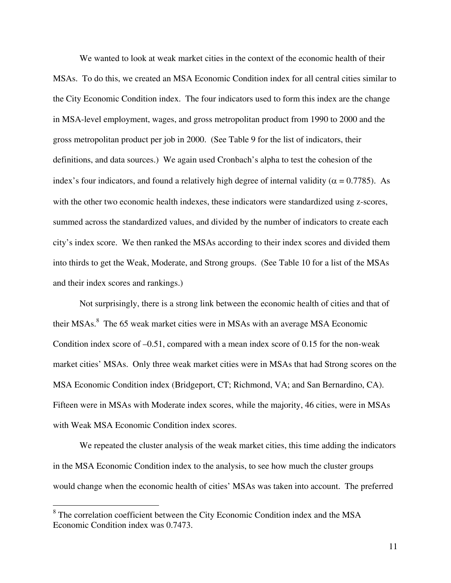We wanted to look at weak market cities in the context of the economic health of their MSAs. To do this, we created an MSA Economic Condition index for all central cities similar to the City Economic Condition index. The four indicators used to form this index are the change in MSA-level employment, wages, and gross metropolitan product from 1990 to 2000 and the gross metropolitan product per job in 2000. (See Table 9 for the list of indicators, their definitions, and data sources.) We again used Cronbach's alpha to test the cohesion of the index's four indicators, and found a relatively high degree of internal validity ( $\alpha = 0.7785$ ). As with the other two economic health indexes, these indicators were standardized using z-scores, summed across the standardized values, and divided by the number of indicators to create each city's index score. We then ranked the MSAs according to their index scores and divided them into thirds to get the Weak, Moderate, and Strong groups. (See Table 10 for a list of the MSAs and their index scores and rankings.)

 Not surprisingly, there is a strong link between the economic health of cities and that of their MSAs.<sup>8</sup> The 65 weak market cities were in MSAs with an average MSA Economic Condition index score of –0.51, compared with a mean index score of 0.15 for the non-weak market cities' MSAs. Only three weak market cities were in MSAs that had Strong scores on the MSA Economic Condition index (Bridgeport, CT; Richmond, VA; and San Bernardino, CA). Fifteen were in MSAs with Moderate index scores, while the majority, 46 cities, were in MSAs with Weak MSA Economic Condition index scores.

 We repeated the cluster analysis of the weak market cities, this time adding the indicators in the MSA Economic Condition index to the analysis, to see how much the cluster groups would change when the economic health of cities' MSAs was taken into account. The preferred

<sup>&</sup>lt;sup>8</sup> The correlation coefficient between the City Economic Condition index and the MSA Economic Condition index was 0.7473.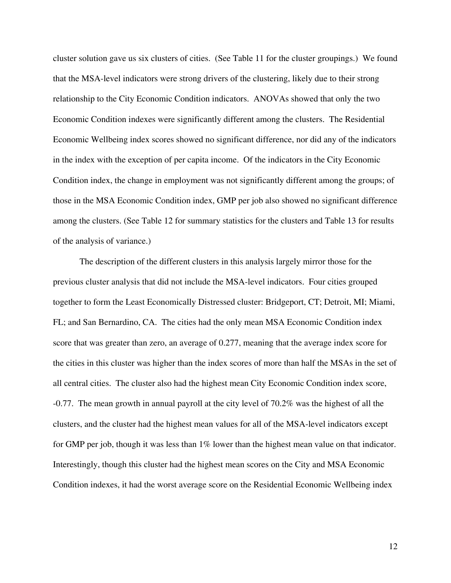cluster solution gave us six clusters of cities. (See Table 11 for the cluster groupings.) We found that the MSA-level indicators were strong drivers of the clustering, likely due to their strong relationship to the City Economic Condition indicators. ANOVAs showed that only the two Economic Condition indexes were significantly different among the clusters. The Residential Economic Wellbeing index scores showed no significant difference, nor did any of the indicators in the index with the exception of per capita income. Of the indicators in the City Economic Condition index, the change in employment was not significantly different among the groups; of those in the MSA Economic Condition index, GMP per job also showed no significant difference among the clusters. (See Table 12 for summary statistics for the clusters and Table 13 for results of the analysis of variance.)

 The description of the different clusters in this analysis largely mirror those for the previous cluster analysis that did not include the MSA-level indicators. Four cities grouped together to form the Least Economically Distressed cluster: Bridgeport, CT; Detroit, MI; Miami, FL; and San Bernardino, CA. The cities had the only mean MSA Economic Condition index score that was greater than zero, an average of 0.277, meaning that the average index score for the cities in this cluster was higher than the index scores of more than half the MSAs in the set of all central cities. The cluster also had the highest mean City Economic Condition index score, -0.77. The mean growth in annual payroll at the city level of 70.2% was the highest of all the clusters, and the cluster had the highest mean values for all of the MSA-level indicators except for GMP per job, though it was less than 1% lower than the highest mean value on that indicator. Interestingly, though this cluster had the highest mean scores on the City and MSA Economic Condition indexes, it had the worst average score on the Residential Economic Wellbeing index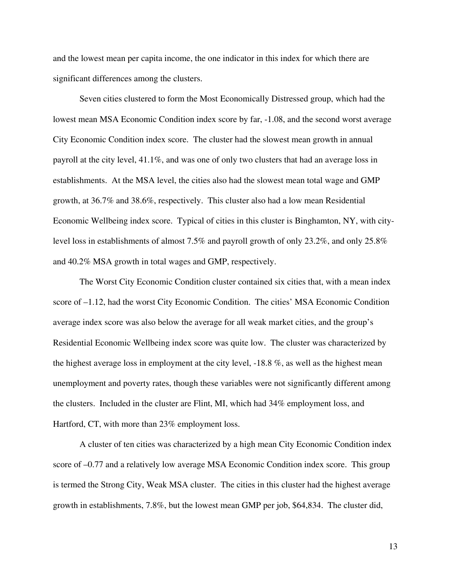and the lowest mean per capita income, the one indicator in this index for which there are significant differences among the clusters.

 Seven cities clustered to form the Most Economically Distressed group, which had the lowest mean MSA Economic Condition index score by far, -1.08, and the second worst average City Economic Condition index score. The cluster had the slowest mean growth in annual payroll at the city level, 41.1%, and was one of only two clusters that had an average loss in establishments. At the MSA level, the cities also had the slowest mean total wage and GMP growth, at 36.7% and 38.6%, respectively. This cluster also had a low mean Residential Economic Wellbeing index score. Typical of cities in this cluster is Binghamton, NY, with citylevel loss in establishments of almost 7.5% and payroll growth of only 23.2%, and only 25.8% and 40.2% MSA growth in total wages and GMP, respectively.

 The Worst City Economic Condition cluster contained six cities that, with a mean index score of –1.12, had the worst City Economic Condition. The cities' MSA Economic Condition average index score was also below the average for all weak market cities, and the group's Residential Economic Wellbeing index score was quite low. The cluster was characterized by the highest average loss in employment at the city level, -18.8 %, as well as the highest mean unemployment and poverty rates, though these variables were not significantly different among the clusters. Included in the cluster are Flint, MI, which had 34% employment loss, and Hartford, CT, with more than 23% employment loss.

 A cluster of ten cities was characterized by a high mean City Economic Condition index score of –0.77 and a relatively low average MSA Economic Condition index score. This group is termed the Strong City, Weak MSA cluster. The cities in this cluster had the highest average growth in establishments, 7.8%, but the lowest mean GMP per job, \$64,834. The cluster did,

13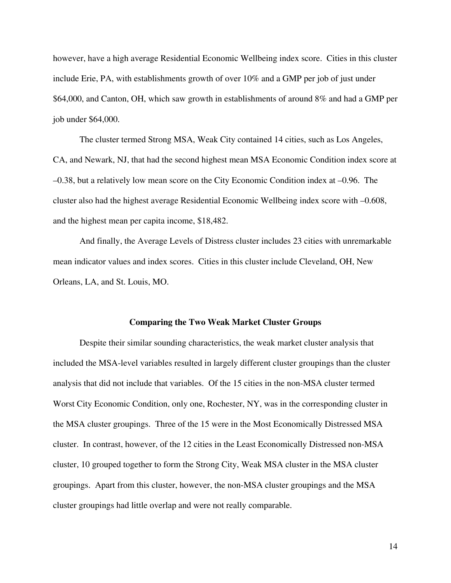however, have a high average Residential Economic Wellbeing index score. Cities in this cluster include Erie, PA, with establishments growth of over 10% and a GMP per job of just under \$64,000, and Canton, OH, which saw growth in establishments of around 8% and had a GMP per job under \$64,000.

 The cluster termed Strong MSA, Weak City contained 14 cities, such as Los Angeles, CA, and Newark, NJ, that had the second highest mean MSA Economic Condition index score at –0.38, but a relatively low mean score on the City Economic Condition index at –0.96. The cluster also had the highest average Residential Economic Wellbeing index score with –0.608, and the highest mean per capita income, \$18,482.

 And finally, the Average Levels of Distress cluster includes 23 cities with unremarkable mean indicator values and index scores. Cities in this cluster include Cleveland, OH, New Orleans, LA, and St. Louis, MO.

#### **Comparing the Two Weak Market Cluster Groups**

 Despite their similar sounding characteristics, the weak market cluster analysis that included the MSA-level variables resulted in largely different cluster groupings than the cluster analysis that did not include that variables. Of the 15 cities in the non-MSA cluster termed Worst City Economic Condition, only one, Rochester, NY, was in the corresponding cluster in the MSA cluster groupings. Three of the 15 were in the Most Economically Distressed MSA cluster. In contrast, however, of the 12 cities in the Least Economically Distressed non-MSA cluster, 10 grouped together to form the Strong City, Weak MSA cluster in the MSA cluster groupings. Apart from this cluster, however, the non-MSA cluster groupings and the MSA cluster groupings had little overlap and were not really comparable.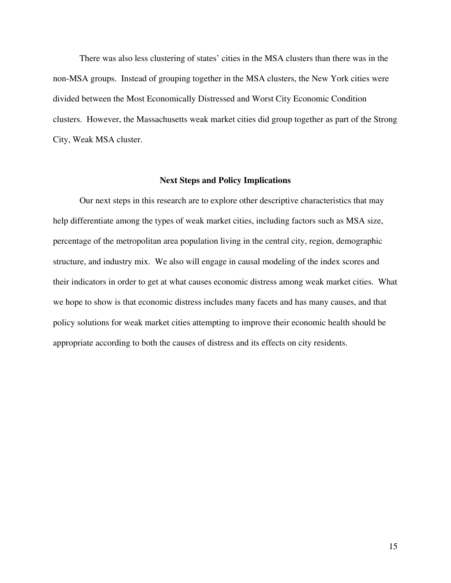There was also less clustering of states' cities in the MSA clusters than there was in the non-MSA groups. Instead of grouping together in the MSA clusters, the New York cities were divided between the Most Economically Distressed and Worst City Economic Condition clusters. However, the Massachusetts weak market cities did group together as part of the Strong City, Weak MSA cluster.

#### **Next Steps and Policy Implications**

 Our next steps in this research are to explore other descriptive characteristics that may help differentiate among the types of weak market cities, including factors such as MSA size, percentage of the metropolitan area population living in the central city, region, demographic structure, and industry mix. We also will engage in causal modeling of the index scores and their indicators in order to get at what causes economic distress among weak market cities. What we hope to show is that economic distress includes many facets and has many causes, and that policy solutions for weak market cities attempting to improve their economic health should be appropriate according to both the causes of distress and its effects on city residents.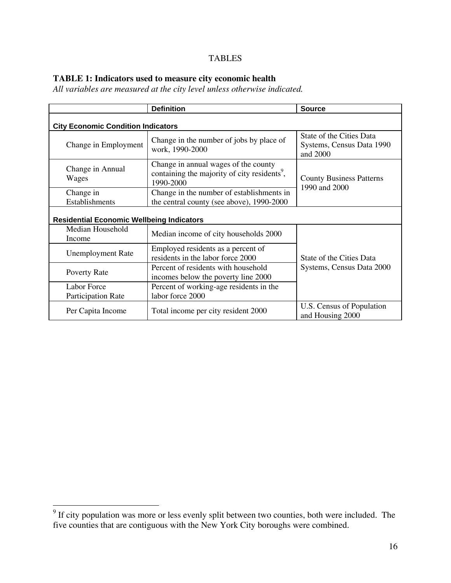## TABLES

## **TABLE 1: Indicators used to measure city economic health**

*All variables are measured at the city level unless otherwise indicated.*

|                                                  | <b>Definition</b>                                                                                             |                                                                   |  |  |  |  |  |
|--------------------------------------------------|---------------------------------------------------------------------------------------------------------------|-------------------------------------------------------------------|--|--|--|--|--|
|                                                  | <b>City Economic Condition Indicators</b>                                                                     |                                                                   |  |  |  |  |  |
| Change in Employment                             | Change in the number of jobs by place of<br>work, 1990-2000                                                   | State of the Cities Data<br>Systems, Census Data 1990<br>and 2000 |  |  |  |  |  |
| Change in Annual<br>Wages                        | Change in annual wages of the county<br>containing the majority of city residents <sup>9</sup> ,<br>1990-2000 | <b>County Business Patterns</b><br>1990 and 2000                  |  |  |  |  |  |
| Change in<br>Establishments                      | Change in the number of establishments in<br>the central county (see above), 1990-2000                        |                                                                   |  |  |  |  |  |
| <b>Residential Economic Wellbeing Indicators</b> |                                                                                                               |                                                                   |  |  |  |  |  |
| Median Household<br>Income                       | Median income of city households 2000                                                                         |                                                                   |  |  |  |  |  |
| <b>Unemployment Rate</b>                         | Employed residents as a percent of<br>residents in the labor force 2000                                       | State of the Cities Data                                          |  |  |  |  |  |
| Poverty Rate                                     | Percent of residents with household<br>incomes below the poverty line 2000                                    | Systems, Census Data 2000                                         |  |  |  |  |  |
| <b>Labor Force</b><br><b>Participation Rate</b>  | Percent of working-age residents in the<br>labor force 2000                                                   |                                                                   |  |  |  |  |  |
| Per Capita Income                                | Total income per city resident 2000                                                                           | U.S. Census of Population<br>and Housing 2000                     |  |  |  |  |  |

<sup>&</sup>lt;sup>9</sup> If city population was more or less evenly split between two counties, both were included. The five counties that are contiguous with the New York City boroughs were combined.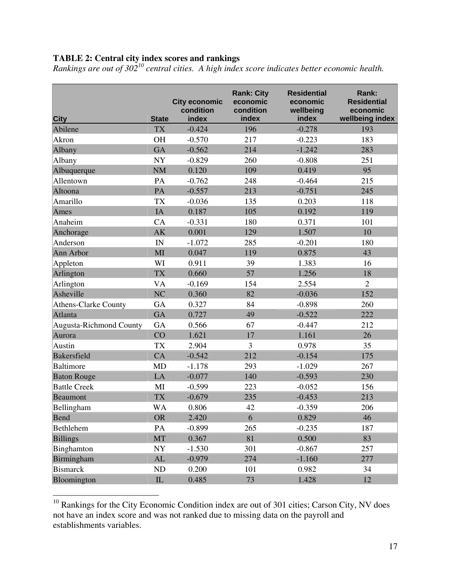### **TABLE 2: Central city index scores and rankings**

*Rankings are out of 30210 central cities. A high index score indicates better economic health.*

| <b>City</b>                    | <b>State</b>  | <b>City economic</b><br>condition<br>index | <b>Rank: City</b><br>economic<br>condition<br>index | <b>Residential</b><br>economic<br>wellbeing<br>index | Rank:<br><b>Residential</b><br>economic<br>wellbeing index |
|--------------------------------|---------------|--------------------------------------------|-----------------------------------------------------|------------------------------------------------------|------------------------------------------------------------|
| Abilene                        | <b>TX</b>     | $-0.424$                                   | 196                                                 | $-0.278$                                             | 193                                                        |
| Akron                          | <b>OH</b>     | $-0.570$                                   | 217                                                 | $-0.223$                                             | 183                                                        |
| Albany                         | <b>GA</b>     | $-0.562$                                   | 214                                                 | $-1.242$                                             | 283                                                        |
| Albany                         | <b>NY</b>     | $-0.829$                                   | 260                                                 | $-0.808$                                             | 251                                                        |
| Albuquerque                    | <b>NM</b>     | 0.120                                      | 109                                                 | 0.419                                                | 95                                                         |
| Allentown                      | PA            | $-0.762$                                   | 248                                                 | $-0.464$                                             | 215                                                        |
| Altoona                        | PA            | $-0.557$                                   | 213                                                 | $-0.751$                                             | 245                                                        |
| Amarillo                       | <b>TX</b>     | $-0.036$                                   | 135                                                 | 0.203                                                | 118                                                        |
| Ames                           | IA            | 0.187                                      | 105                                                 | 0.192                                                | 119                                                        |
| Anaheim                        | CA            | $-0.331$                                   | 180                                                 | 0.371                                                | 101                                                        |
| Anchorage                      | AK            | 0.001                                      | 129                                                 | 1.507                                                | 10                                                         |
| Anderson                       | IN            | $-1.072$                                   | 285                                                 | $-0.201$                                             | 180                                                        |
| Ann Arbor                      | MI            | 0.047                                      | 119                                                 | 0.875                                                | 43                                                         |
| Appleton                       | WI            | 0.911                                      | 39                                                  | 1.383                                                | 16                                                         |
| Arlington                      | <b>TX</b>     | 0.660                                      | 57                                                  | 1.256                                                | 18                                                         |
| Arlington                      | <b>VA</b>     | $-0.169$                                   | 154                                                 | 2.554                                                | $\overline{2}$                                             |
| Asheville                      | NC            | 0.360                                      | 82                                                  | $-0.036$                                             | 152                                                        |
| <b>Athens-Clarke County</b>    | <b>GA</b>     | 0.327                                      | 84                                                  | $-0.898$                                             | 260                                                        |
| Atlanta                        | <b>GA</b>     | 0.727                                      | 49                                                  | $-0.522$                                             | 222                                                        |
| <b>Augusta-Richmond County</b> | <b>GA</b>     | 0.566                                      | 67                                                  | $-0.447$                                             | 212                                                        |
| Aurora                         | CO            | 1.621                                      | 17                                                  | 1.161                                                | 26                                                         |
| Austin                         | <b>TX</b>     | 2.904                                      | 3                                                   | 0.978                                                | 35                                                         |
| <b>Bakersfield</b>             | CA            | $-0.542$                                   | 212                                                 | $-0.154$                                             | 175                                                        |
| <b>Baltimore</b>               | <b>MD</b>     | $-1.178$                                   | 293                                                 | $-1.029$                                             | 267                                                        |
| <b>Baton Rouge</b>             | LA            | $-0.077$                                   | 140                                                 | $-0.593$                                             | 230                                                        |
| <b>Battle Creek</b>            | MI            | $-0.599$                                   | 223                                                 | $-0.052$                                             | 156                                                        |
| <b>Beaumont</b>                | <b>TX</b>     | $-0.679$                                   | 235                                                 | $-0.453$                                             | 213                                                        |
| Bellingham                     | <b>WA</b>     | 0.806                                      | 42                                                  | $-0.359$                                             | 206                                                        |
| <b>Bend</b>                    | <b>OR</b>     | 2.420                                      | 6                                                   | 0.829                                                | 46                                                         |
| Bethlehem                      | PA            | $-0.899$                                   | 265                                                 | $-0.235$                                             | 187                                                        |
| <b>Billings</b>                | <b>MT</b>     | 0.367                                      | 81                                                  | 0.500                                                | 83                                                         |
| Binghamton                     | ${\bf NY}$    | $-1.530$                                   | 301                                                 | $-0.867$                                             | 257                                                        |
| Birmingham                     | $\mathbf{AL}$ | $-0.979$                                   | 274                                                 | $-1.160$                                             | 277                                                        |
| <b>Bismarck</b>                | $\rm ND$      | 0.200                                      | 101                                                 | 0.982                                                | 34                                                         |
| Bloomington                    | ${\rm IL}$    | 0.485                                      | 73                                                  | 1.428                                                | 12                                                         |

 $10$  Rankings for the City Economic Condition index are out of 301 cities; Carson City, NV does not have an index score and was not ranked due to missing data on the payroll and establishments variables.

 $\overline{a}$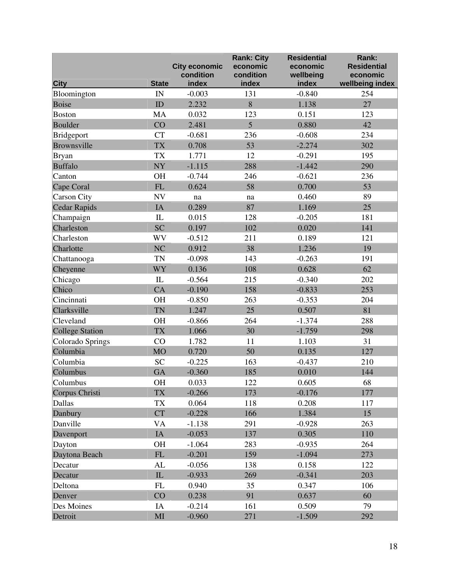| <b>City</b>            | <b>State</b>   | <b>City economic</b><br>condition<br>index | <b>Rank: City</b><br>economic<br>condition<br>index | <b>Residential</b><br>economic<br>wellbeing<br>index | Rank:<br><b>Residential</b><br>economic<br>wellbeing index |
|------------------------|----------------|--------------------------------------------|-----------------------------------------------------|------------------------------------------------------|------------------------------------------------------------|
| Bloomington            | IN             | $-0.003$                                   | 131                                                 | $-0.840$                                             | 254                                                        |
| <b>Boise</b>           | ID             | 2.232                                      | 8                                                   | 1.138                                                | 27                                                         |
| <b>Boston</b>          | <b>MA</b>      | 0.032                                      | 123                                                 | 0.151                                                | 123                                                        |
| <b>Boulder</b>         | CO             | 2.481                                      | $\overline{5}$                                      | 0.880                                                | 42                                                         |
| <b>Bridgeport</b>      | <b>CT</b>      | $-0.681$                                   | 236                                                 | $-0.608$                                             | 234                                                        |
| Brownsville            | <b>TX</b>      | 0.708                                      | 53                                                  | $-2.274$                                             | 302                                                        |
| <b>Bryan</b>           | <b>TX</b>      | 1.771                                      | 12                                                  | $-0.291$                                             | 195                                                        |
| <b>Buffalo</b>         | <b>NY</b>      | $-1.115$                                   | 288                                                 | $-1.442$                                             | 290                                                        |
| Canton                 | OH             | $-0.744$                                   | 246                                                 | $-0.621$                                             | 236                                                        |
| Cape Coral             | ${\rm FL}$     | 0.624                                      | 58                                                  | 0.700                                                | 53                                                         |
| <b>Carson City</b>     | <b>NV</b>      | na                                         | $\operatorname{na}$                                 | 0.460                                                | 89                                                         |
| <b>Cedar Rapids</b>    | IA             | 0.289                                      | 87                                                  | 1.169                                                | 25                                                         |
| Champaign              | $\mathbf{L}$   | 0.015                                      | 128                                                 | $-0.205$                                             | 181                                                        |
| Charleston             | <b>SC</b>      | 0.197                                      | 102                                                 | 0.020                                                | 141                                                        |
| Charleston             | WV             | $-0.512$                                   | 211                                                 | 0.189                                                | 121                                                        |
| Charlotte              | N <sub>C</sub> | 0.912                                      | 38                                                  | 1.236                                                | 19                                                         |
| Chattanooga            | <b>TN</b>      | $-0.098$                                   | 143                                                 | $-0.263$                                             | 191                                                        |
| Cheyenne               | WY             | 0.136                                      | 108                                                 | 0.628                                                | 62                                                         |
| Chicago                | $\rm IL$       | $-0.564$                                   | 215                                                 | $-0.340$                                             | 202                                                        |
| Chico                  | CA             | $-0.190$                                   | 158                                                 | $-0.833$                                             | 253                                                        |
| Cincinnati             | OH             | $-0.850$                                   | 263                                                 | $-0.353$                                             | 204                                                        |
| Clarksville            | <b>TN</b>      | 1.247                                      | 25                                                  | 0.507                                                | 81                                                         |
| Cleveland              | <b>OH</b>      | $-0.866$                                   | 264                                                 | $-1.374$                                             | 288                                                        |
| <b>College Station</b> | <b>TX</b>      | 1.066                                      | 30                                                  | $-1.759$                                             | 298                                                        |
| Colorado Springs       | CO             | 1.782                                      | 11                                                  | 1.103                                                | 31                                                         |
| Columbia               | <b>MO</b>      | 0.720                                      | 50                                                  | 0.135                                                | 127                                                        |
| Columbia               | <b>SC</b>      | $-0.225$                                   | 163                                                 | $-0.437$                                             | 210                                                        |
| Columbus               | <b>GA</b>      | $-0.360$                                   | 185                                                 | 0.010                                                | 144                                                        |
| Columbus               | <b>OH</b>      | 0.033                                      | 122                                                 | 0.605                                                | 68                                                         |
| Corpus Christi         | <b>TX</b>      | $-0.266$                                   | 173                                                 | $-0.176$                                             | 177                                                        |
| Dallas                 | <b>TX</b>      | 0.064                                      | 118                                                 | 0.208                                                | 117                                                        |
| Danbury                | <b>CT</b>      | $-0.228$                                   | 166                                                 | 1.384                                                | 15                                                         |
| Danville               | VA             | $-1.138$                                   | 291                                                 | $-0.928$                                             | 263                                                        |
| Davenport              | IA             | $-0.053$                                   | 137                                                 | 0.305                                                | 110                                                        |
| Dayton                 | OH             | $-1.064$                                   | 283                                                 | $-0.935$                                             | 264                                                        |
| Daytona Beach          | ${\rm FL}$     | $-0.201$                                   | 159                                                 | $-1.094$                                             | 273                                                        |
| Decatur                | AL             | $-0.056$                                   | 138                                                 | 0.158                                                | 122                                                        |
| Decatur                | IL             | $-0.933$                                   | 269                                                 | $-0.341$                                             | 203                                                        |
| Deltona                | ${\rm FL}$     | 0.940                                      | 35                                                  | 0.347                                                | 106                                                        |
| Denver                 | CO             | 0.238                                      | 91                                                  | 0.637                                                | 60                                                         |
| Des Moines             | IA             | $-0.214$                                   | 161                                                 | 0.509                                                | 79                                                         |
| Detroit                | MI             | $-0.960$                                   | 271                                                 | $-1.509$                                             | 292                                                        |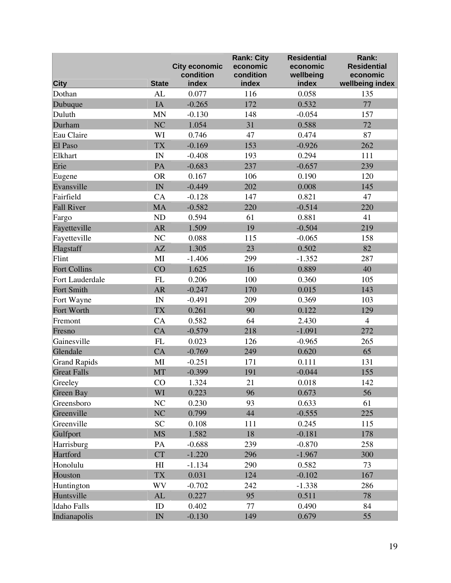| <b>City</b>         | <b>State</b>             | <b>City economic</b><br>condition<br>index | <b>Rank: City</b><br>economic<br>condition<br>index | <b>Residential</b><br>economic<br>wellbeing<br>index | Rank:<br><b>Residential</b><br>economic<br>wellbeing index |
|---------------------|--------------------------|--------------------------------------------|-----------------------------------------------------|------------------------------------------------------|------------------------------------------------------------|
| Dothan              | AL                       | 0.077                                      | 116                                                 | 0.058                                                | 135                                                        |
|                     | IA                       | $-0.265$                                   | 172                                                 | 0.532                                                | 77                                                         |
| Dubuque             |                          |                                            |                                                     |                                                      |                                                            |
| Duluth              | <b>MN</b>                | $-0.130$                                   | 148                                                 | $-0.054$                                             | 157                                                        |
| Durham              | NC                       | 1.054                                      | 31                                                  | 0.588                                                | 72                                                         |
| Eau Claire          | WI                       | 0.746                                      | 47                                                  | 0.474                                                | 87                                                         |
| El Paso             | <b>TX</b>                | $-0.169$                                   | 153                                                 | $-0.926$                                             | 262                                                        |
| Elkhart             | IN                       | $-0.408$                                   | 193                                                 | 0.294                                                | 111                                                        |
| Erie                | PA                       | $-0.683$                                   | 237                                                 | $-0.657$                                             | 239                                                        |
| Eugene              | <b>OR</b>                | 0.167                                      | 106                                                 | 0.190                                                | 120                                                        |
| Evansville          | IN                       | $-0.449$                                   | 202                                                 | 0.008                                                | 145                                                        |
| Fairfield           | CA                       | $-0.128$                                   | 147                                                 | 0.821                                                | 47                                                         |
| <b>Fall River</b>   | <b>MA</b>                | $-0.582$                                   | 220                                                 | $-0.514$                                             | 220                                                        |
| Fargo               | ND                       | 0.594                                      | 61                                                  | 0.881                                                | 41                                                         |
| Fayetteville        | AR                       | 1.509                                      | 19                                                  | $-0.504$                                             | 219                                                        |
| Fayetteville        | $\rm NC$                 | 0.088                                      | 115                                                 | $-0.065$                                             | 158                                                        |
| Flagstaff           | AZ                       | 1.305                                      | 23                                                  | 0.502                                                | 82                                                         |
| Flint               | MI                       | $-1.406$                                   | 299                                                 | $-1.352$                                             | 287                                                        |
| <b>Fort Collins</b> | CO                       | 1.625                                      | 16                                                  | 0.889                                                | 40                                                         |
| Fort Lauderdale     | FL                       | 0.206                                      | 100                                                 | 0.360                                                | 105                                                        |
| Fort Smith          | AR                       | $-0.247$                                   | 170                                                 | 0.015                                                | 143                                                        |
| Fort Wayne          | $\ensuremath{\text{IN}}$ | $-0.491$                                   | 209                                                 | 0.369                                                | 103                                                        |
| Fort Worth          | <b>TX</b>                | 0.261                                      | 90                                                  | 0.122                                                | 129                                                        |
| Fremont             | CA                       | 0.582                                      | 64                                                  | 2.430                                                | $\overline{4}$                                             |
| Fresno              | CA                       | $-0.579$                                   | 218                                                 | $-1.091$                                             | 272                                                        |
| Gainesville         | FL                       | 0.023                                      | 126                                                 | $-0.965$                                             | 265                                                        |
| Glendale            | CA                       | $-0.769$                                   | 249                                                 | 0.620                                                | 65                                                         |
| <b>Grand Rapids</b> | MI                       | $-0.251$                                   | 171                                                 | 0.111                                                | 131                                                        |
| <b>Great Falls</b>  | <b>MT</b>                | $-0.399$                                   | 191                                                 | $-0.044$                                             | 155                                                        |
| Greeley             | CO                       | 1.324                                      | 21                                                  | 0.018                                                | 142                                                        |
| <b>Green Bay</b>    | WI                       | 0.223                                      | 96                                                  | 0.673                                                | 56                                                         |
| Greensboro          | $\rm NC$                 | 0.230                                      | 93                                                  | 0.633                                                | 61                                                         |
| Greenville          | N <sub>C</sub>           | 0.799                                      | 44                                                  | $-0.555$                                             | 225                                                        |
| Greenville          | <b>SC</b>                | 0.108                                      | 111                                                 | 0.245                                                | 115                                                        |
| Gulfport            | <b>MS</b>                | 1.582                                      | 18                                                  | $-0.181$                                             | 178                                                        |
| Harrisburg          | PA                       | $-0.688$                                   | 239                                                 | $-0.870$                                             | 258                                                        |
| Hartford            | <b>CT</b>                | $-1.220$                                   | 296                                                 | $-1.967$                                             | 300                                                        |
| Honolulu            | H <sub>I</sub>           | $-1.134$                                   | 290                                                 | 0.582                                                | 73                                                         |
| Houston             | <b>TX</b>                | 0.031                                      | 124                                                 | $-0.102$                                             | 167                                                        |
| Huntington          | WV                       | $-0.702$                                   | 242                                                 | $-1.338$                                             | 286                                                        |
| Huntsville          | $\mathbf{AL}$            | 0.227                                      | 95                                                  | 0.511                                                | 78                                                         |
| Idaho Falls         | ID                       | 0.402                                      | 77                                                  | 0.490                                                | 84                                                         |
| Indianapolis        | $\ensuremath{\text{IN}}$ | $-0.130$                                   | 149                                                 | 0.679                                                | 55                                                         |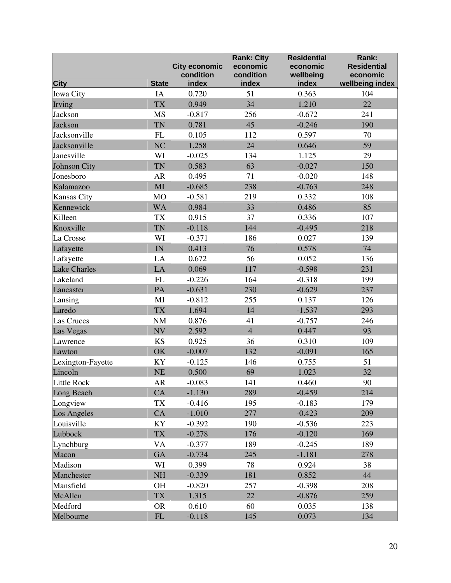|                     |                | <b>City economic</b><br>condition | <b>Rank: City</b><br>economic<br>condition | <b>Residential</b><br>economic<br>wellbeing | Rank:<br><b>Residential</b><br>economic |
|---------------------|----------------|-----------------------------------|--------------------------------------------|---------------------------------------------|-----------------------------------------|
| <b>City</b>         | <b>State</b>   | index                             | index                                      | index                                       | wellbeing index                         |
| Iowa City           | IA             | 0.720                             | 51                                         | 0.363                                       | 104                                     |
| Irving              | <b>TX</b>      | 0.949                             | 34                                         | 1.210                                       | 22                                      |
| Jackson             | <b>MS</b>      | $-0.817$                          | 256                                        | $-0.672$                                    | 241                                     |
| Jackson             | <b>TN</b>      | 0.781                             | 45                                         | $-0.246$                                    | 190                                     |
| Jacksonville        | FL             | 0.105                             | 112                                        | 0.597                                       | 70                                      |
| Jacksonville        | N <sub>C</sub> | 1.258                             | 24                                         | 0.646                                       | 59                                      |
| Janesville          | WI             | $-0.025$                          | 134                                        | 1.125                                       | 29                                      |
| Johnson City        | <b>TN</b>      | 0.583                             | 63                                         | $-0.027$                                    | 150                                     |
| Jonesboro           | <b>AR</b>      | 0.495                             | 71                                         | $-0.020$                                    | 148                                     |
| Kalamazoo           | MI             | $-0.685$                          | 238                                        | $-0.763$                                    | 248                                     |
| Kansas City         | MO             | $-0.581$                          | 219                                        | 0.332                                       | 108                                     |
| Kennewick           | <b>WA</b>      | 0.984                             | 33                                         | 0.486                                       | 85                                      |
| Killeen             | <b>TX</b>      | 0.915                             | 37                                         | 0.336                                       | 107                                     |
| Knoxville           | <b>TN</b>      | $-0.118$                          | 144                                        | $-0.495$                                    | 218                                     |
| La Crosse           | WI             | $-0.371$                          | 186                                        | 0.027                                       | 139                                     |
| Lafayette           | IN             | 0.413                             | 76                                         | 0.578                                       | 74                                      |
| Lafayette           | LA             | 0.672                             | 56                                         | 0.052                                       | 136                                     |
| <b>Lake Charles</b> | LA             | 0.069                             | 117                                        | $-0.598$                                    | 231                                     |
| Lakeland            | FL             | $-0.226$                          | 164                                        | $-0.318$                                    | 199                                     |
| Lancaster           | PA             | $-0.631$                          | 230                                        | $-0.629$                                    | 237                                     |
| Lansing             | MI             | $-0.812$                          | 255                                        | 0.137                                       | 126                                     |
| Laredo              | <b>TX</b>      | 1.694                             | 14                                         | $-1.537$                                    | 293                                     |
| Las Cruces          | <b>NM</b>      | 0.876                             | 41                                         | $-0.757$                                    | 246                                     |
| Las Vegas           | <b>NV</b>      | 2.592                             | $\overline{4}$                             | 0.447                                       | 93                                      |
| Lawrence            | <b>KS</b>      | 0.925                             | 36                                         | 0.310                                       | 109                                     |
| Lawton              | OK             | $-0.007$                          | 132                                        | $-0.091$                                    | 165                                     |
| Lexington-Fayette   | KY             | $-0.125$                          | 146                                        | 0.755                                       | 51                                      |
| Lincoln             | <b>NE</b>      | 0.500                             | 69                                         | 1.023                                       | 32                                      |
| Little Rock         | ${\sf AR}$     | $-0.083$                          | 141                                        | 0.460                                       | 90                                      |
| Long Beach          | CA             | $-1.130$                          | 289                                        | $-0.459$                                    | 214                                     |
| Longview            | TX             | $-0.416$                          | 195                                        | $-0.183$                                    | 179                                     |
| Los Angeles         | CA             | $-1.010$                          | 277                                        | $-0.423$                                    | 209                                     |
| Louisville          | KY             | $-0.392$                          | 190                                        | $-0.536$                                    | 223                                     |
| Lubbock             | <b>TX</b>      | $-0.278$                          | 176                                        | $-0.120$                                    | 169                                     |
| Lynchburg           | <b>VA</b>      | $-0.377$                          | 189                                        | $-0.245$                                    | 189                                     |
| Macon               | <b>GA</b>      | $-0.734$                          | 245                                        | $-1.181$                                    | 278                                     |
| Madison             | WI             | 0.399                             | 78                                         | 0.924                                       | 38                                      |
| Manchester          | NH             | $-0.339$                          | 181                                        | 0.852                                       | 44                                      |
| Mansfield           | <b>OH</b>      | $-0.820$                          | 257                                        | $-0.398$                                    | 208                                     |
| McAllen             | <b>TX</b>      | 1.315                             | 22                                         | $-0.876$                                    | 259                                     |
| Medford             | <b>OR</b>      | 0.610                             | 60                                         | 0.035                                       | 138                                     |
| Melbourne           | ${\rm FL}$     | $-0.118$                          | 145                                        | 0.073                                       | 134                                     |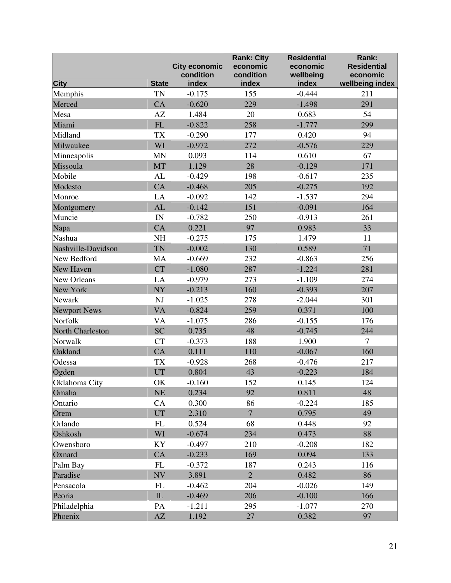|                     |                          | <b>City economic</b><br>condition | <b>Rank: City</b><br>economic<br>condition | <b>Residential</b><br>economic<br>wellbeing | Rank:<br><b>Residential</b><br>economic |
|---------------------|--------------------------|-----------------------------------|--------------------------------------------|---------------------------------------------|-----------------------------------------|
| <b>City</b>         | <b>State</b>             | index                             | index                                      | index                                       | wellbeing index                         |
| Memphis             | <b>TN</b>                | $-0.175$                          | 155                                        | $-0.444$                                    | 211                                     |
| Merced              | CA                       | $-0.620$                          | 229                                        | $-1.498$                                    | 291                                     |
| Mesa                | AZ                       | 1.484                             | 20                                         | 0.683                                       | 54                                      |
| Miami               | ${\rm FL}$               | $-0.822$                          | 258                                        | $-1.777$                                    | 299                                     |
| Midland             | <b>TX</b>                | $-0.290$                          | 177                                        | 0.420                                       | 94                                      |
| Milwaukee           | WI                       | $-0.972$                          | 272                                        | $-0.576$                                    | 229                                     |
| Minneapolis         | <b>MN</b>                | 0.093                             | 114                                        | 0.610                                       | 67                                      |
| Missoula            | MT                       | 1.129                             | 28                                         | $-0.129$                                    | 171                                     |
| Mobile              | AL                       | $-0.429$                          | 198                                        | $-0.617$                                    | 235                                     |
| Modesto             | CA                       | $-0.468$                          | 205                                        | $-0.275$                                    | 192                                     |
| Monroe              | LA                       | $-0.092$                          | 142                                        | $-1.537$                                    | 294                                     |
| Montgomery          | AL                       | $-0.142$                          | 151                                        | $-0.091$                                    | 164                                     |
| Muncie              | $\ensuremath{\text{IN}}$ | $-0.782$                          | 250                                        | $-0.913$                                    | 261                                     |
| Napa                | CA                       | 0.221                             | 97                                         | 0.983                                       | 33                                      |
| Nashua              | NH                       | $-0.275$                          | 175                                        | 1.479                                       | 11                                      |
| Nashville-Davidson  | <b>TN</b>                | $-0.002$                          | 130                                        | 0.589                                       | 71                                      |
| New Bedford         | <b>MA</b>                | $-0.669$                          | 232                                        | $-0.863$                                    | 256                                     |
| New Haven           | <b>CT</b>                | $-1.080$                          | 287                                        | $-1.224$                                    | 281                                     |
| New Orleans         | LA                       | $-0.979$                          | 273                                        | $-1.109$                                    | 274                                     |
| New York            | NY                       | $-0.213$                          | 160                                        | $-0.393$                                    | 207                                     |
| Newark              | NJ                       | $-1.025$                          | 278                                        | $-2.044$                                    | 301                                     |
| <b>Newport News</b> | <b>VA</b>                | $-0.824$                          | 259                                        | 0.371                                       | 100                                     |
| Norfolk             | <b>VA</b>                | $-1.075$                          | 286                                        | $-0.155$                                    | 176                                     |
| North Charleston    | <b>SC</b>                | 0.735                             | 48                                         | $-0.745$                                    | 244                                     |
| Norwalk             | <b>CT</b>                | $-0.373$                          | 188                                        | 1.900                                       | $\overline{7}$                          |
| Oakland             | CA                       | 0.111                             | 110                                        | $-0.067$                                    | 160                                     |
| Odessa              | <b>TX</b>                | $-0.928$                          | 268                                        | $-0.476$                                    | 217                                     |
| Ogden               | UT                       | 0.804                             | 43                                         | $-0.223$                                    | 184                                     |
| Oklahoma City       | OK                       | $-0.160$                          | 152                                        | 0.145                                       | 124                                     |
| Omaha               | NE                       | 0.234                             | 92                                         | 0.811                                       | 48                                      |
| Ontario             | CA                       | 0.300                             | 86                                         | $-0.224$                                    | 185                                     |
| Orem                | UT                       | 2.310                             | $\overline{7}$                             | 0.795                                       | 49                                      |
| Orlando             | ${\rm FL}$               | 0.524                             | 68                                         | 0.448                                       | 92                                      |
| Oshkosh             | WI                       | $-0.674$                          | 234                                        | 0.473                                       | 88                                      |
| Owensboro           | KY                       | $-0.497$                          | 210                                        | $-0.208$                                    | 182                                     |
| Oxnard              | CA                       | $-0.233$                          | 169                                        | 0.094                                       | 133                                     |
| Palm Bay            | FL                       | $-0.372$                          | 187                                        | 0.243                                       | 116                                     |
| Paradise            | <b>NV</b>                | 3.891                             | $\overline{2}$                             | 0.482                                       | 86                                      |
| Pensacola           | FL                       | $-0.462$                          | 204                                        | $-0.026$                                    | 149                                     |
| Peoria              | ${\rm IL}$               | $-0.469$                          | 206                                        | $-0.100$                                    | 166                                     |
| Philadelphia        | PA                       | $-1.211$                          | 295                                        | $-1.077$                                    | 270                                     |
| Phoenix             | $\mathbf{A}\mathbf{Z}$   | 1.192                             | 27                                         | 0.382                                       | 97                                      |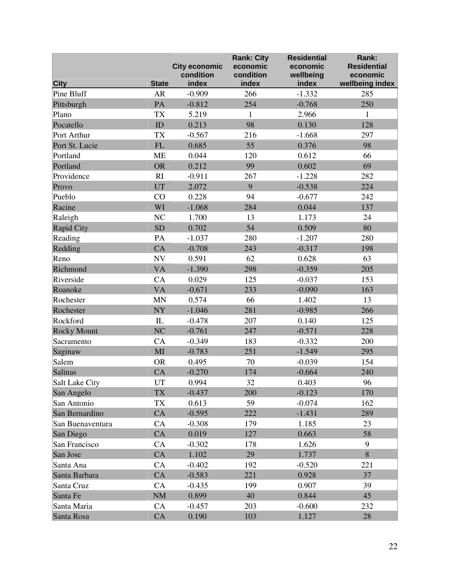|                           |                            | <b>City economic</b><br>condition | <b>Rank: City</b><br>economic<br>condition | <b>Residential</b><br>economic<br>wellbeing | Rank:<br><b>Residential</b><br>economic |
|---------------------------|----------------------------|-----------------------------------|--------------------------------------------|---------------------------------------------|-----------------------------------------|
| <b>City</b><br>Pine Bluff | <b>State</b><br><b>AR</b>  | index                             | index                                      | index<br>$-1.332$                           | wellbeing index                         |
|                           |                            | $-0.909$                          | 266                                        |                                             | 285                                     |
| Pittsburgh                | PA                         | $-0.812$                          | 254                                        | $-0.768$                                    | 250                                     |
| Plano                     | <b>TX</b>                  | 5.219                             | $\mathbf{1}$                               | 2.966                                       | $\mathbf{1}$                            |
| Pocatello                 | ${\rm ID}$                 | 0.213                             | 98                                         | 0.130                                       | 128                                     |
| Port Arthur               | <b>TX</b>                  | $-0.567$                          | 216                                        | $-1.668$                                    | 297                                     |
| Port St. Lucie            | FL                         | 0.685                             | 55                                         | 0.376                                       | 98                                      |
| Portland                  | <b>ME</b>                  | 0.044                             | 120                                        | 0.612                                       | 66                                      |
| Portland                  | <b>OR</b>                  | 0.212                             | 99                                         | 0.602                                       | 69                                      |
| Providence                | RI                         | $-0.911$                          | 267                                        | $-1.228$                                    | 282                                     |
| Provo                     | UT                         | 2.072                             | 9                                          | $-0.538$                                    | 224                                     |
| Pueblo                    | CO                         | 0.228                             | 94                                         | $-0.677$                                    | 242                                     |
| Racine                    | WI                         | $-1.068$                          | 284                                        | 0.044                                       | 137                                     |
| Raleigh                   | $\rm NC$                   | 1.700                             | 13                                         | 1.173                                       | 24                                      |
| <b>Rapid City</b>         | <b>SD</b>                  | 0.702                             | 54                                         | 0.509                                       | 80                                      |
| Reading                   | PA                         | $-1.037$                          | 280                                        | $-1.207$                                    | 280                                     |
| Redding                   | CA                         | $-0.708$                          | 243                                        | $-0.317$                                    | 198                                     |
| Reno                      | $\ensuremath{\text{NV}}$   | 0.591                             | 62                                         | 0.628                                       | 63                                      |
| Richmond                  | <b>VA</b>                  | $-1.390$                          | 298                                        | $-0.359$                                    | 205                                     |
| Riverside                 | CA                         | 0.029                             | 125                                        | $-0.037$                                    | 153                                     |
| Roanoke                   | <b>VA</b>                  | $-0.671$                          | 233                                        | $-0.090$                                    | 163                                     |
| Rochester                 | <b>MN</b>                  | 0.574                             | 66                                         | 1.402                                       | 13                                      |
| Rochester                 | $\bold{NY}$                | $-1.046$                          | 281                                        | $-0.985$                                    | 266                                     |
| Rockford                  | ${\rm IL}$                 | $-0.478$                          | 207                                        | 0.140                                       | 125                                     |
| <b>Rocky Mount</b>        | NC                         | $-0.761$                          | 247                                        | $-0.571$                                    | 228                                     |
| Sacramento                | CA                         | $-0.349$                          | 183                                        | $-0.332$                                    | 200                                     |
| Saginaw                   | MI                         | $-0.783$                          | 251                                        | $-1.549$                                    | 295                                     |
| Salem                     | <b>OR</b>                  | 0.495                             | 70                                         | $-0.039$                                    | 154                                     |
| Salinas                   | CA                         | $-0.270$                          | 174                                        | $-0.664$                                    | 240                                     |
| Salt Lake City            | $\ensuremath{\mathrm{UT}}$ | 0.994                             | 32                                         | 0.403                                       | 96                                      |
| San Angelo                | <b>TX</b>                  | $-0.437$                          | 200                                        | $-0.123$                                    | 170                                     |
| San Antonio               | TX                         | 0.613                             | 59                                         | $-0.074$                                    | 162                                     |
| San Bernardino            | CA                         | $-0.595$                          | 222                                        | $-1.431$                                    | 289                                     |
| San Buenaventura          | CA                         | $-0.308$                          | 179                                        | 1.185                                       | 23                                      |
| San Diego                 | CA                         | 0.019                             | 127                                        | 0.663                                       | 58                                      |
| San Francisco             | CA                         | $-0.302$                          | 178                                        | 1.626                                       | 9                                       |
| San Jose                  | CA                         | 1.102                             | 29                                         | 1.737                                       | 8                                       |
| Santa Ana                 | CA                         | $-0.402$                          | 192                                        | $-0.520$                                    | 221                                     |
| Santa Barbara             | CA                         | $-0.583$                          | 221                                        | 0.928                                       | 37                                      |
| Santa Cruz                | CA                         | $-0.435$                          | 199                                        | 0.907                                       | 39                                      |
| Santa Fe                  | NM                         | 0.899                             | 40                                         | 0.844                                       | 45                                      |
| Santa Maria               | CA                         | $-0.457$                          | 203                                        | $-0.600$                                    | 232                                     |
| Santa Rosa                | CA                         | 0.190                             | 103                                        | 1.127                                       | 28                                      |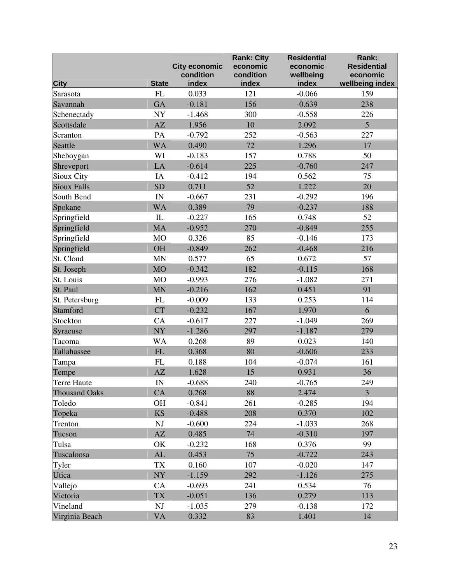|                      |                        | <b>City economic</b><br>condition | <b>Rank: City</b><br>economic<br>condition | <b>Residential</b><br>economic<br>wellbeing | Rank:<br><b>Residential</b><br>economic |
|----------------------|------------------------|-----------------------------------|--------------------------------------------|---------------------------------------------|-----------------------------------------|
| <b>City</b>          | <b>State</b>           | index                             | index                                      | index                                       | wellbeing index                         |
| Sarasota             | FL                     | 0.033                             | 121                                        | $-0.066$                                    | 159                                     |
| Savannah             | <b>GA</b>              | $-0.181$                          | 156                                        | $-0.639$                                    | 238                                     |
| Schenectady          | ${\bf NY}$             | $-1.468$                          | 300                                        | $-0.558$                                    | 226                                     |
| Scottsdale           | AZ                     | 1.956                             | 10                                         | 2.092                                       | 5                                       |
| Scranton             | PA                     | $-0.792$                          | 252                                        | $-0.563$                                    | 227                                     |
| Seattle              | <b>WA</b>              | 0.490                             | 72                                         | 1.296                                       | 17                                      |
| Sheboygan            | WI                     | $-0.183$                          | 157                                        | 0.788                                       | 50                                      |
| Shreveport           | LA                     | $-0.614$                          | 225                                        | $-0.760$                                    | 247                                     |
| Sioux City           | IA                     | $-0.412$                          | 194                                        | 0.562                                       | 75                                      |
| Sioux Falls          | <b>SD</b>              | 0.711                             | 52                                         | 1.222                                       | 20                                      |
| South Bend           | IN                     | $-0.667$                          | 231                                        | $-0.292$                                    | 196                                     |
| Spokane              | <b>WA</b>              | 0.389                             | 79                                         | $-0.237$                                    | 188                                     |
| Springfield          | $\mathbf{L}$           | $-0.227$                          | 165                                        | 0.748                                       | 52                                      |
| Springfield          | <b>MA</b>              | $-0.952$                          | 270                                        | $-0.849$                                    | 255                                     |
| Springfield          | M <sub>O</sub>         | 0.326                             | 85                                         | $-0.146$                                    | 173                                     |
| Springfield          | <b>OH</b>              | $-0.849$                          | 262                                        | $-0.468$                                    | 216                                     |
| St. Cloud            | <b>MN</b>              | 0.577                             | 65                                         | 0.672                                       | 57                                      |
| St. Joseph           | <b>MO</b>              | $-0.342$                          | 182                                        | $-0.115$                                    | 168                                     |
| St. Louis            | MO                     | $-0.993$                          | 276                                        | $-1.082$                                    | 271                                     |
| St. Paul             | <b>MN</b>              | $-0.216$                          | 162                                        | 0.451                                       | 91                                      |
| St. Petersburg       | FL                     | $-0.009$                          | 133                                        | 0.253                                       | 114                                     |
| Stamford             | <b>CT</b>              | $-0.232$                          | 167                                        | 1.970                                       | 6                                       |
| Stockton             | CA                     | $-0.617$                          | 227                                        | $-1.049$                                    | 269                                     |
| Syracuse             | NY                     | $-1.286$                          | 297                                        | $-1.187$                                    | 279                                     |
| Tacoma               | <b>WA</b>              | 0.268                             | 89                                         | 0.023                                       | 140                                     |
| Tallahassee          | FL                     | 0.368                             | 80                                         | $-0.606$                                    | 233                                     |
| Tampa                | <b>FL</b>              | 0.188                             | 104                                        | $-0.074$                                    | 161                                     |
| Tempe                | AZ                     | 1.628                             | 15                                         | 0.931                                       | 36                                      |
| Terre Haute          | $\mathbf{IN}$          | $-0.688$                          | 240                                        | $-0.765$                                    | 249                                     |
| <b>Thousand Oaks</b> | CA                     | 0.268                             | 88                                         | 2.474                                       | $\overline{3}$                          |
| Toledo               | <b>OH</b>              | $-0.841$                          | 261                                        | $-0.285$                                    | 194                                     |
| Topeka               | <b>KS</b>              | $-0.488$                          | 208                                        | 0.370                                       | 102                                     |
| Trenton              | $\mathbf{N}\mathbf{J}$ | $-0.600$                          | 224                                        | $-1.033$                                    | 268                                     |
| Tucson               | AZ                     | 0.485                             | 74                                         | $-0.310$                                    | 197                                     |
| Tulsa                | OK                     | $-0.232$                          | 168                                        | 0.376                                       | 99                                      |
| Tuscaloosa           | $\mathbf{AL}$          | 0.453                             | 75                                         | $-0.722$                                    | 243                                     |
| Tyler                | <b>TX</b>              | 0.160                             | 107                                        | $-0.020$                                    | 147                                     |
| Utica                | <b>NY</b>              | $-1.159$                          | 292                                        | $-1.126$                                    | 275                                     |
| Vallejo              | CA                     | $-0.693$                          | 241                                        | 0.534                                       | 76                                      |
| Victoria             | <b>TX</b>              | $-0.051$                          | 136                                        | 0.279                                       | 113                                     |
| Vineland             | NJ                     | $-1.035$                          | 279                                        | $-0.138$                                    | 172                                     |
| Virginia Beach       | <b>VA</b>              | 0.332                             | 83                                         | 1.401                                       | 14                                      |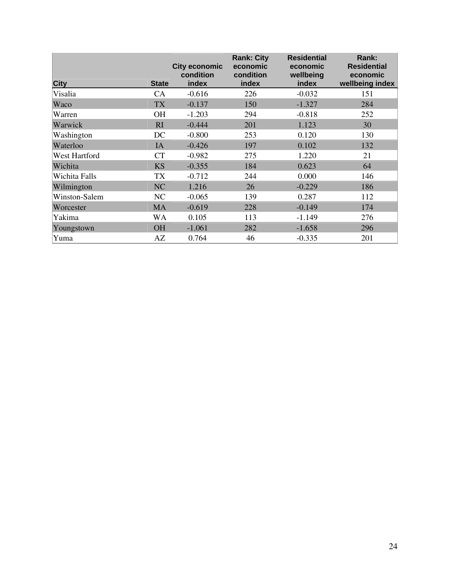| <b>City</b>   | <b>State</b> | <b>City economic</b><br>condition<br>index | <b>Rank: City</b><br>economic<br>condition<br>index | <b>Residential</b><br>economic<br>wellbeing<br>index | Rank:<br><b>Residential</b><br>economic<br>wellbeing index |
|---------------|--------------|--------------------------------------------|-----------------------------------------------------|------------------------------------------------------|------------------------------------------------------------|
| Visalia       | CA           | $-0.616$                                   | 226                                                 | $-0.032$                                             | 151                                                        |
| Waco          | TX           | $-0.137$                                   | 150                                                 | $-1.327$                                             | 284                                                        |
| Warren        | <b>OH</b>    | $-1.203$                                   | 294                                                 | $-0.818$                                             | 252                                                        |
| Warwick       | RI           | $-0.444$                                   | 201                                                 | 1.123                                                | 30                                                         |
| Washington    | DC           | $-0.800$                                   | 253                                                 | 0.120                                                | 130                                                        |
| Waterloo      | IA           | $-0.426$                                   | 197                                                 | 0.102                                                | 132                                                        |
| West Hartford | <b>CT</b>    | $-0.982$                                   | 275                                                 | 1.220                                                | 21                                                         |
| Wichita       | <b>KS</b>    | $-0.355$                                   | 184                                                 | 0.623                                                | 64                                                         |
| Wichita Falls | TX           | $-0.712$                                   | 244                                                 | 0.000                                                | 146                                                        |
| Wilmington    | NC           | 1.216                                      | 26                                                  | $-0.229$                                             | 186                                                        |
| Winston-Salem | NC           | $-0.065$                                   | 139                                                 | 0.287                                                | 112                                                        |
| Worcester     | MA           | $-0.619$                                   | 228                                                 | $-0.149$                                             | 174                                                        |
| Yakima        | WA           | 0.105                                      | 113                                                 | $-1.149$                                             | 276                                                        |
| Youngstown    | <b>OH</b>    | $-1.061$                                   | 282                                                 | $-1.658$                                             | 296                                                        |
| Yuma          | AZ           | 0.764                                      | 46                                                  | $-0.335$                                             | 201                                                        |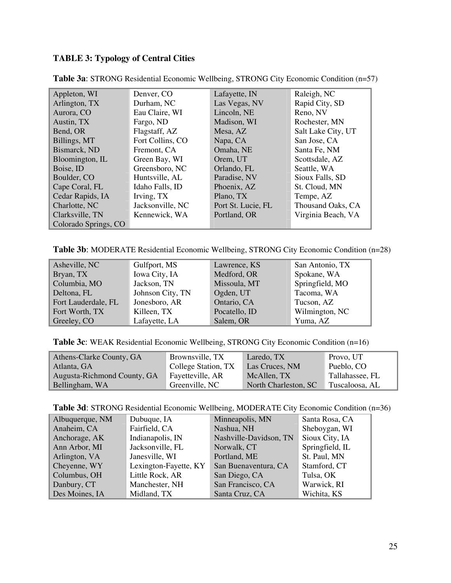## **TABLE 3: Typology of Central Cities**

| Appleton, WI         | Denver, CO       | Lafayette, IN      | Raleigh, NC        |
|----------------------|------------------|--------------------|--------------------|
| Arlington, TX        | Durham, NC       | Las Vegas, NV      | Rapid City, SD     |
| Aurora, CO           | Eau Claire, WI   | Lincoln, NE        | Reno, NV           |
| Austin, TX           | Fargo, ND        | Madison, WI        | Rochester, MN      |
| Bend, OR             | Flagstaff, AZ    | Mesa, AZ           | Salt Lake City, UT |
| Billings, MT         | Fort Collins, CO | Napa, CA           | San Jose, CA       |
| Bismarck, ND         | Fremont, CA      | Omaha, NE          | Santa Fe, NM       |
| Bloomington, IL      | Green Bay, WI    | Orem, UT           | Scottsdale, AZ     |
| Boise, ID            | Greensboro, NC   | Orlando, FL        | Seattle, WA        |
| Boulder, CO          | Huntsville, AL   | Paradise, NV       | Sioux Falls, SD    |
| Cape Coral, FL       | Idaho Falls, ID  | Phoenix, AZ        | St. Cloud, MN      |
| Cedar Rapids, IA     | Irving, TX       | Plano, TX          | Tempe, AZ          |
| Charlotte, NC        | Jacksonville, NC | Port St. Lucie, FL | Thousand Oaks, CA  |
| Clarksville, TN      | Kennewick, WA    | Portland, OR       | Virginia Beach, VA |
| Colorado Springs, CO |                  |                    |                    |

**Table 3a**: STRONG Residential Economic Wellbeing, STRONG City Economic Condition (n=57)

**Table 3b**: MODERATE Residential Economic Wellbeing, STRONG City Economic Condition (n=28)

| Asheville, NC       | Gulfport, MS     | Lawrence, KS  | San Antonio, TX |
|---------------------|------------------|---------------|-----------------|
| Bryan, TX           | Iowa City, IA    | Medford, OR   | Spokane, WA     |
| Columbia, MO        | Jackson, TN      | Missoula, MT  | Springfield, MO |
| Deltona, FL         | Johnson City, TN | Ogden, UT     | Tacoma, WA      |
| Fort Lauderdale, FL | Jonesboro, AR    | Ontario, CA   | Tucson, AZ      |
| Fort Worth, TX      | Killeen, TX      | Pocatello, ID | Wilmington, NC  |
| Greeley, CO         | Lafayette, LA    | Salem, OR     | Yuma, AZ        |

**Table 3c**: WEAK Residential Economic Wellbeing, STRONG City Economic Condition (n=16)

| Athens-Clarke County, GA    | Brownsville, TX     | Laredo, TX           | Provo, UT       |
|-----------------------------|---------------------|----------------------|-----------------|
| Atlanta, GA                 | College Station, TX | Las Cruces, NM       | Pueblo, CO      |
| Augusta-Richmond County, GA | Fayetteville, AR    | McAllen, TX          | Tallahassee, FL |
| Bellingham, WA              | Greenville, NC      | North Charleston, SC | Tuscaloosa, AL  |

**Table 3d**: STRONG Residential Economic Wellbeing, MODERATE City Economic Condition (n=36)

| Albuquerque, NM | Dubuque, IA           | Minneapolis, MN        | Santa Rosa, CA  |
|-----------------|-----------------------|------------------------|-----------------|
| Anaheim, CA     | Fairfield, CA         | Nashua, NH             | Sheboygan, WI   |
| Anchorage, AK   | Indianapolis, IN      | Nashville-Davidson, TN | Sioux City, IA  |
| Ann Arbor, MI   | Jacksonville, FL      | Norwalk, CT            | Springfield, IL |
| Arlington, VA   | Janesville, WI        | Portland, ME           | St. Paul, MN    |
| Cheyenne, WY    | Lexington-Fayette, KY | San Buenaventura, CA   | Stamford, CT    |
| Columbus, OH    | Little Rock, AR       | San Diego, CA          | Tulsa, OK       |
| Danbury, CT     | Manchester, NH        | San Francisco, CA      | Warwick, RI     |
| Des Moines, IA  | Midland, TX           | Santa Cruz, CA         | Wichita, KS     |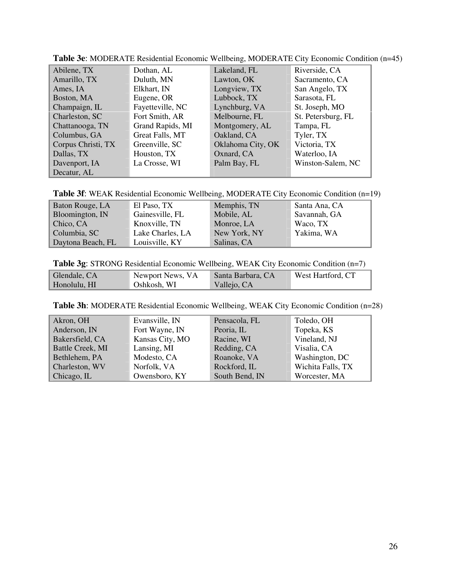| Abilene, TX        | Dothan, AL       | Lakeland, FL      | Riverside, CA      |
|--------------------|------------------|-------------------|--------------------|
| Amarillo, TX       | Duluth, MN       | Lawton, OK        | Sacramento, CA     |
| Ames, IA           | Elkhart, IN      | Longview, TX      | San Angelo, TX     |
| Boston, MA         | Eugene, OR       | Lubbock, TX       | Sarasota, FL       |
| Champaign, IL      | Fayetteville, NC | Lynchburg, VA     | St. Joseph, MO     |
| Charleston, SC     | Fort Smith, AR   | Melbourne, FL     | St. Petersburg, FL |
| Chattanooga, TN    | Grand Rapids, MI | Montgomery, AL    | Tampa, FL          |
| Columbus, GA       | Great Falls, MT  | Oakland, CA       | Tyler, TX          |
| Corpus Christi, TX | Greenville, SC   | Oklahoma City, OK | Victoria, TX       |
| Dallas, TX         | Houston, TX      | Oxnard, CA        | Waterloo, IA       |
| Davenport, IA      | La Crosse, WI    | Palm Bay, FL      | Winston-Salem, NC  |
| Decatur, AL        |                  |                   |                    |

**Table 3e**: MODERATE Residential Economic Wellbeing, MODERATE City Economic Condition (n=45)

**Table 3f**: WEAK Residential Economic Wellbeing, MODERATE City Economic Condition (n=19)

| Baton Rouge, LA   | El Paso, TX      | Memphis, TN  | Santa Ana, CA |
|-------------------|------------------|--------------|---------------|
| Bloomington, IN   | Gainesville, FL  | Mobile, AL   | Savannah, GA  |
| Chico, CA         | Knoxville, TN    | Monroe, LA   | Waco, TX      |
| Columbia, SC      | Lake Charles, LA | New York, NY | Yakima, WA    |
| Daytona Beach, FL | Louisville, KY   | Salinas, CA  |               |

**Table 3g**: STRONG Residential Economic Wellbeing, WEAK City Economic Condition (n=7)

| Glendale, CA | Newport News, VA | Santa Barbara, CA | West Hartford, CT |
|--------------|------------------|-------------------|-------------------|
| Honolulu, HI | Oshkosh, WI      | Vallejo, CA       |                   |

| Table 3h: MODERATE Residential Economic Wellbeing, WEAK City Economic Condition (n=28) |  |  |  |
|----------------------------------------------------------------------------------------|--|--|--|
|----------------------------------------------------------------------------------------|--|--|--|

| Akron, OH               | Evansville, IN  | Pensacola, FL  | Toledo, OH        |
|-------------------------|-----------------|----------------|-------------------|
| Anderson, IN            | Fort Wayne, IN  | Peoria, IL     | Topeka, KS        |
| Bakersfield, CA         | Kansas City, MO | Racine, WI     | Vineland, NJ      |
| <b>Battle Creek, MI</b> | Lansing, MI     | Redding, CA    | Visalia, CA       |
| Bethlehem, PA           | Modesto, CA     | Roanoke, VA    | Washington, DC    |
| Charleston, WV          | Norfolk, VA     | Rockford, IL   | Wichita Falls, TX |
| Chicago, IL             | Owensboro, KY   | South Bend, IN | Worcester, MA     |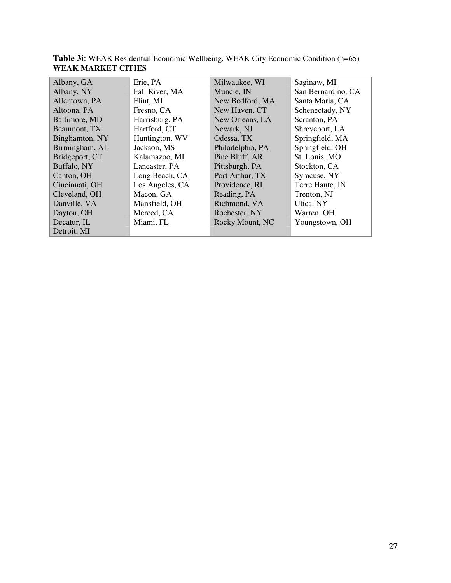| Albany, GA     | Erie, PA        | Milwaukee, WI    | Saginaw, MI        |
|----------------|-----------------|------------------|--------------------|
| Albany, NY     | Fall River, MA  | Muncie, IN       | San Bernardino, CA |
| Allentown, PA  | Flint, MI       | New Bedford, MA  | Santa Maria, CA    |
| Altoona, PA    | Fresno, CA      | New Haven, CT    | Schenectady, NY    |
| Baltimore, MD  | Harrisburg, PA  | New Orleans, LA  | Scranton, PA       |
| Beaumont, TX   | Hartford, CT    | Newark, NJ       | Shreveport, LA     |
| Binghamton, NY | Huntington, WV  | Odessa, TX       | Springfield, MA    |
| Birmingham, AL | Jackson, MS     | Philadelphia, PA | Springfield, OH    |
| Bridgeport, CT | Kalamazoo, MI   | Pine Bluff, AR   | St. Louis, MO      |
| Buffalo, NY    | Lancaster, PA   | Pittsburgh, PA   | Stockton, CA       |
| Canton, OH     | Long Beach, CA  | Port Arthur, TX  | Syracuse, NY       |
| Cincinnati, OH | Los Angeles, CA | Providence, RI   | Terre Haute, IN    |
| Cleveland, OH  | Macon, GA       | Reading, PA      | Trenton, NJ        |
| Danville, VA   | Mansfield, OH   | Richmond, VA     | Utica, NY          |
| Dayton, OH     | Merced, CA      | Rochester, NY    | Warren, OH         |
| Decatur, IL    | Miami, FL       | Rocky Mount, NC  | Youngstown, OH     |
| Detroit, MI    |                 |                  |                    |

**Table 3i**: WEAK Residential Economic Wellbeing, WEAK City Economic Condition (n=65) **WEAK MARKET CITIES**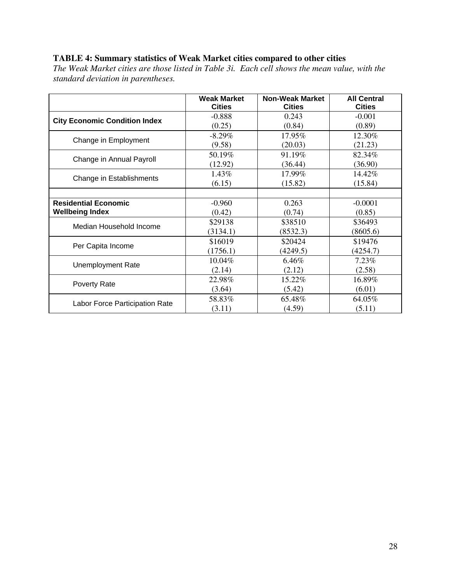## **TABLE 4: Summary statistics of Weak Market cities compared to other cities**

*The Weak Market cities are those listed in Table 3i. Each cell shows the mean value, with the standard deviation in parentheses.* 

|                                      | <b>Weak Market</b> | <b>Non-Weak Market</b> | <b>All Central</b> |
|--------------------------------------|--------------------|------------------------|--------------------|
|                                      | <b>Cities</b>      | <b>Cities</b>          | <b>Cities</b>      |
| <b>City Economic Condition Index</b> | $-0.888$           | 0.243                  | $-0.001$           |
|                                      | (0.25)             | (0.84)                 | (0.89)             |
| Change in Employment                 | $-8.29%$           | 17.95%                 | 12.30%             |
|                                      | (9.58)             | (20.03)                | (21.23)            |
| Change in Annual Payroll             | 50.19%             | 91.19%                 | 82.34%             |
|                                      | (12.92)            | (36.44)                | (36.90)            |
| Change in Establishments             | 1.43%              | 17.99%                 | 14.42%             |
|                                      | (6.15)             | (15.82)                | (15.84)            |
|                                      |                    |                        |                    |
| <b>Residential Economic</b>          | $-0.960$           | 0.263                  | $-0.0001$          |
| <b>Wellbeing Index</b>               | (0.42)             | (0.74)                 | (0.85)             |
| Median Household Income              | \$29138            | \$38510                | \$36493            |
|                                      | (3134.1)           | (8532.3)               | (8605.6)           |
| Per Capita Income                    | \$16019            | \$20424                | \$19476            |
|                                      | (1756.1)           | (4249.5)               | (4254.7)           |
| <b>Unemployment Rate</b>             | 10.04%             | 6.46%                  | 7.23%              |
|                                      | (2.14)             | (2.12)                 | (2.58)             |
| Poverty Rate                         | 22.98%             | 15.22%                 | 16.89%             |
|                                      | (3.64)             | (5.42)                 | (6.01)             |
| Labor Force Participation Rate       | 58.83%             | 65.48%                 | 64.05%             |
|                                      | (3.11)             | (4.59)                 | (5.11)             |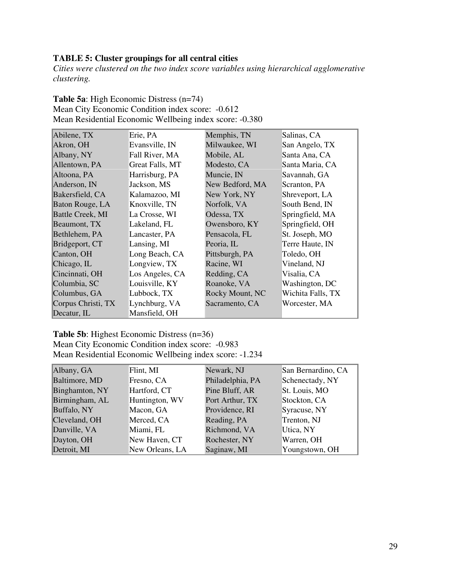## **TABLE 5: Cluster groupings for all central cities**

*Cities were clustered on the two index score variables using hierarchical agglomerative clustering.*

| <b>Table 5a:</b> High Economic Distress (n=74)          |  |
|---------------------------------------------------------|--|
| Mean City Economic Condition index score: -0.612        |  |
| Mean Residential Economic Wellbeing index score: -0.380 |  |

| Abilene, TX             | Erie, PA        | Memphis, TN     | Salinas, CA       |
|-------------------------|-----------------|-----------------|-------------------|
| Akron, OH               | Evansville, IN  | Milwaukee, WI   | San Angelo, TX    |
| Albany, NY              | Fall River, MA  | Mobile, AL      | Santa Ana, CA     |
| Allentown, PA           | Great Falls, MT | Modesto, CA     | Santa Maria, CA   |
| Altoona, PA             | Harrisburg, PA  | Muncie, IN      | Savannah, GA      |
| Anderson, IN            | Jackson, MS     | New Bedford, MA | Scranton, PA      |
| Bakersfield, CA         | Kalamazoo, MI   | New York, NY    | Shreveport, LA    |
| Baton Rouge, LA         | Knoxville, TN   | Norfolk, VA     | South Bend, IN    |
| <b>Battle Creek, MI</b> | La Crosse, WI   | Odessa, TX      | Springfield, MA   |
| Beaumont, TX            | Lakeland, FL    | Owensboro, KY   | Springfield, OH   |
| Bethlehem, PA           | Lancaster, PA   | Pensacola, FL   | St. Joseph, MO    |
| Bridgeport, CT          | Lansing, MI     | Peoria, IL      | Terre Haute, IN   |
| Canton, OH              | Long Beach, CA  | Pittsburgh, PA  | Toledo, OH        |
| Chicago, IL             | Longview, TX    | Racine, WI      | Vineland, NJ      |
| Cincinnati, OH          | Los Angeles, CA | Redding, CA     | Visalia, CA       |
| Columbia, SC            | Louisville, KY  | Roanoke, VA     | Washington, DC    |
| Columbus, GA            | Lubbock, TX     | Rocky Mount, NC | Wichita Falls, TX |
| Corpus Christi, TX      | Lynchburg, VA   | Sacramento, CA  | Worcester, MA     |
| Decatur, IL             | Mansfield, OH   |                 |                   |

**Table 5b**: Highest Economic Distress (n=36) Mean City Economic Condition index score: -0.983 Mean Residential Economic Wellbeing index score: -1.234

| Albany, GA     | Flint, MI       | Newark, NJ       | San Bernardino, CA |
|----------------|-----------------|------------------|--------------------|
| Baltimore, MD  | Fresno, CA      | Philadelphia, PA | Schenectady, NY    |
| Binghamton, NY | Hartford, CT    | Pine Bluff, AR   | St. Louis, MO      |
| Birmingham, AL | Huntington, WV  | Port Arthur, TX  | Stockton, CA       |
| Buffalo, NY    | Macon, GA       | Providence, RI   | Syracuse, NY       |
| Cleveland, OH  | Merced, CA      | Reading, PA      | Trenton, NJ        |
| Danville, VA   | Miami, FL       | Richmond, VA     | Utica, NY          |
| Dayton, OH     | New Haven, CT   | Rochester, NY    | Warren, OH         |
| Detroit, MI    | New Orleans, LA | Saginaw, MI      | Youngstown, OH     |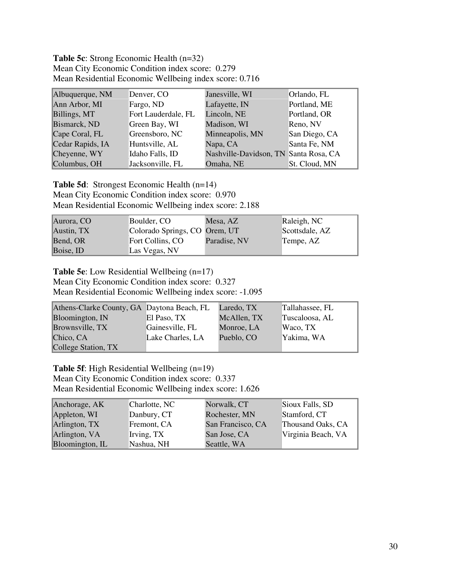**Table 5c**: Strong Economic Health (n=32) Mean City Economic Condition index score: 0.279 Mean Residential Economic Wellbeing index score: 0.716

| Albuquerque, NM  | Denver, CO          | Janesville, WI                        | Orlando, FL   |
|------------------|---------------------|---------------------------------------|---------------|
| Ann Arbor, MI    | Fargo, ND           | Lafayette, IN                         | Portland, ME  |
| Billings, MT     | Fort Lauderdale, FL | Lincoln, NE                           | Portland, OR  |
| Bismarck, ND     | Green Bay, WI       | Madison, WI                           | Reno, NV      |
| Cape Coral, FL   | Greensboro, NC      | Minneapolis, MN                       | San Diego, CA |
| Cedar Rapids, IA | Huntsville, AL      | Napa, CA                              | Santa Fe, NM  |
| Cheyenne, WY     | Idaho Falls, ID     | Nashville-Davidson, TN Santa Rosa, CA |               |
| Columbus, OH     | Jacksonville, FL    | Omaha, NE                             | St. Cloud, MN |

**Table 5d**: Strongest Economic Health (n=14) Mean City Economic Condition index score: 0.970 Mean Residential Economic Wellbeing index score: 2.188

| Aurora, CO | Boulder, CO                   | Mesa, AZ     | Raleigh, NC    |
|------------|-------------------------------|--------------|----------------|
| Austin, TX | Colorado Springs, CO Orem, UT |              | Scottsdale, AZ |
| Bend, OR   | Fort Collins, CO              | Paradise, NV | Tempe, AZ      |
| Boise, ID  | Las Vegas, NV                 |              |                |

**Table 5e**: Low Residential Wellbeing (n=17)

Mean City Economic Condition index score: 0.327 Mean Residential Economic Wellbeing index score: -1.095

| Athens-Clarke County, GA Daytona Beach, FL |                  | Laredo, TX  | Tallahassee, FL |
|--------------------------------------------|------------------|-------------|-----------------|
| Bloomington, IN                            | El Paso, TX      | McAllen, TX | Tuscaloosa, AL  |
| Brownsville, TX                            | Gainesville, FL  | Monroe, LA  | Waco, TX        |
| Chico, CA                                  | Lake Charles, LA | Pueblo, CO  | Yakima, WA      |
| College Station, TX                        |                  |             |                 |

**Table 5f**: High Residential Wellbeing (n=19) Mean City Economic Condition index score: 0.337 Mean Residential Economic Wellbeing index score: 1.626

| Anchorage, AK   | Charlotte, NC | Norwalk, CT       | Sioux Falls, SD    |
|-----------------|---------------|-------------------|--------------------|
| Appleton, WI    | Danbury, CT   | Rochester, MN     | Stamford, CT       |
| Arlington, TX   | Fremont, CA   | San Francisco, CA | Thousand Oaks, CA  |
| Arlington, VA   | Irving, TX    | San Jose, CA      | Virginia Beach, VA |
| Bloomington, IL | Nashua, NH    | Seattle, WA       |                    |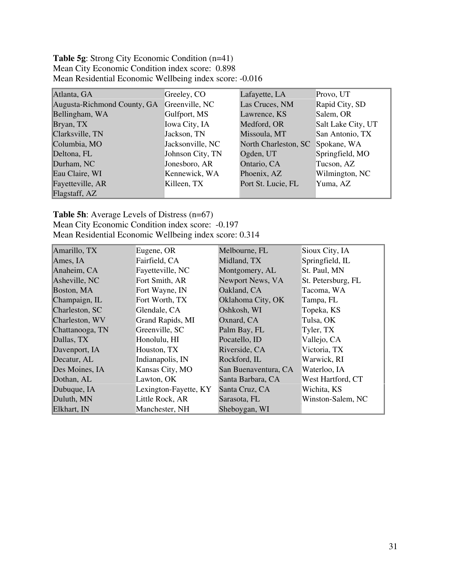**Table 5g**: Strong City Economic Condition (n=41) Mean City Economic Condition index score: 0.898 Mean Residential Economic Wellbeing index score: -0.016

| Atlanta, GA                 | Greeley, CO      | Lafayette, LA        | Provo, UT          |
|-----------------------------|------------------|----------------------|--------------------|
| Augusta-Richmond County, GA | Greenville, NC   | Las Cruces, NM       | Rapid City, SD     |
| Bellingham, WA              | Gulfport, MS     | Lawrence, KS         | Salem, OR          |
| Bryan, TX                   | Iowa City, IA    | Medford, OR          | Salt Lake City, UT |
| Clarksville, TN             | Jackson, TN      | Missoula, MT         | San Antonio, TX    |
| Columbia, MO                | Jacksonville, NC | North Charleston, SC | Spokane, WA        |
| Deltona, FL                 | Johnson City, TN | Ogden, UT            | Springfield, MO    |
| Durham, NC                  | Jonesboro, AR    | Ontario, CA          | Tucson, AZ         |
| Eau Claire, WI              | Kennewick, WA    | Phoenix, AZ          | Wilmington, NC     |
| Fayetteville, AR            | Killeen, TX      | Port St. Lucie, FL   | Yuma, AZ           |
| Flagstaff, AZ               |                  |                      |                    |

### **Table 5h**: Average Levels of Distress (n=67)

Mean City Economic Condition index score: -0.197 Mean Residential Economic Wellbeing index score: 0.314

| Amarillo, TX    | Eugene, OR            | Melbourne, FL        | Sioux City, IA     |
|-----------------|-----------------------|----------------------|--------------------|
| Ames, IA        | Fairfield, CA         | Midland, TX          | Springfield, IL    |
| Anaheim, CA     | Fayetteville, NC      | Montgomery, AL       | St. Paul, MN       |
| Asheville, NC   | Fort Smith, AR        | Newport News, VA     | St. Petersburg, FL |
| Boston, MA      | Fort Wayne, IN        | Oakland, CA          | Tacoma, WA         |
| Champaign, IL   | Fort Worth, TX        | Oklahoma City, OK    | Tampa, FL          |
| Charleston, SC  | Glendale, CA          | Oshkosh, WI          | Topeka, KS         |
| Charleston, WV  | Grand Rapids, MI      | Oxnard, CA           | Tulsa, OK          |
| Chattanooga, TN | Greenville, SC        | Palm Bay, FL         | Tyler, TX          |
| Dallas, TX      | Honolulu, HI          | Pocatello, ID        | Vallejo, CA        |
| Davenport, IA   | Houston, TX           | Riverside, CA        | Victoria, TX       |
| Decatur, AL     | Indianapolis, IN      | Rockford, IL         | Warwick, RI        |
| Des Moines, IA  | Kansas City, MO       | San Buenaventura, CA | Waterloo, IA       |
| Dothan, AL      | Lawton, OK            | Santa Barbara, CA    | West Hartford, CT  |
| Dubuque, IA     | Lexington-Fayette, KY | Santa Cruz, CA       | Wichita, KS        |
| Duluth, MN      | Little Rock, AR       | Sarasota, FL         | Winston-Salem, NC  |
| Elkhart, IN     | Manchester, NH        | Sheboygan, WI        |                    |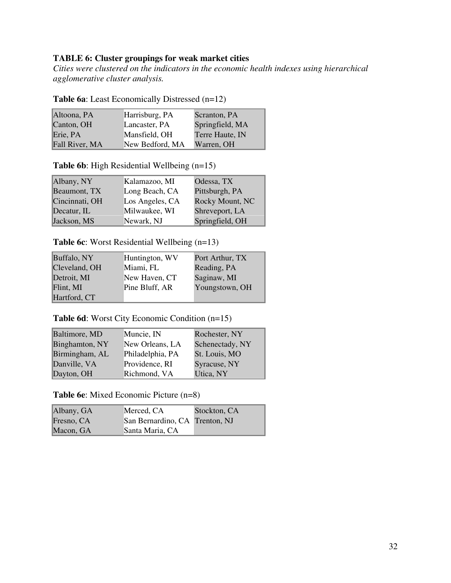## **TABLE 6: Cluster groupings for weak market cities**

*Cities were clustered on the indicators in the economic health indexes using hierarchical agglomerative cluster analysis.* 

| Altoona, PA    | Harrisburg, PA  | Scranton, PA    |
|----------------|-----------------|-----------------|
| Canton, OH     | Lancaster, PA   | Springfield, MA |
| Erie, PA       | Mansfield, OH   | Terre Haute, IN |
| Fall River, MA | New Bedford, MA | Warren, OH      |

**Table 6a**: Least Economically Distressed (n=12)

**Table 6b**: High Residential Wellbeing (n=15)

| Albany, NY     | Kalamazoo, MI   | Odessa, TX      |
|----------------|-----------------|-----------------|
| Beaumont, TX   | Long Beach, CA  | Pittsburgh, PA  |
| Cincinnati, OH | Los Angeles, CA | Rocky Mount, NC |
| Decatur, IL    | Milwaukee, WI   | Shreveport, LA  |
| Jackson, MS    | Newark, NJ      | Springfield, OH |

## **Table 6c**: Worst Residential Wellbeing (n=13)

| Buffalo, NY   | Huntington, WV | Port Arthur, TX |
|---------------|----------------|-----------------|
| Cleveland, OH | Miami, FL      | Reading, PA     |
| Detroit, MI   | New Haven, CT  | Saginaw, MI     |
| Flint, MI     | Pine Bluff, AR | Youngstown, OH  |
| Hartford, CT  |                |                 |

**Table 6d**: Worst City Economic Condition (n=15)

| Baltimore, MD  | Muncie, IN       | Rochester, NY   |
|----------------|------------------|-----------------|
| Binghamton, NY | New Orleans, LA  | Schenectady, NY |
| Birmingham, AL | Philadelphia, PA | St. Louis, MO   |
| Danville, VA   | Providence, RI   | Syracuse, NY    |
| Dayton, OH     | Richmond, VA     | Utica, NY       |

**Table 6e**: Mixed Economic Picture (n=8)

| Albany, GA | Merced, CA                     | Stockton, CA |
|------------|--------------------------------|--------------|
| Fresno, CA | San Bernardino, CA Trenton, NJ |              |
| Macon, GA  | Santa Maria, CA                |              |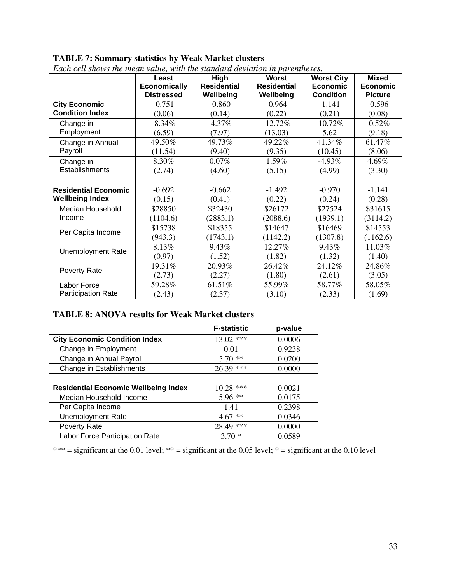## **TABLE 7: Summary statistics by Weak Market clusters**

|                             | Least<br><b>Economically</b><br><b>Distressed</b> | High<br><b>Residential</b><br>Wellbeing | <b>Worst</b><br><b>Residential</b><br>Wellbeing | <b>Worst City</b><br><b>Economic</b><br><b>Condition</b> | <b>Mixed</b><br><b>Economic</b><br><b>Picture</b> |
|-----------------------------|---------------------------------------------------|-----------------------------------------|-------------------------------------------------|----------------------------------------------------------|---------------------------------------------------|
| <b>City Economic</b>        | $-0.751$                                          | $-0.860$                                | $-0.964$                                        | $-1.141$                                                 | $-0.596$                                          |
| <b>Condition Index</b>      | (0.06)                                            | (0.14)                                  | (0.22)                                          | (0.21)                                                   | (0.08)                                            |
| Change in                   | $-8.34\%$                                         | $-4.37\%$                               | $-12.72%$                                       | $-10.72%$                                                | $-0.52%$                                          |
| Employment                  | (6.59)                                            | (7.97)                                  | (13.03)                                         | 5.62                                                     | (9.18)                                            |
| Change in Annual            | 49.50%                                            | 49.73%                                  | 49.22%                                          | 41.34%                                                   | 61.47%                                            |
| Payroll                     | (11.54)                                           | (9.40)                                  | (9.35)                                          | (10.45)                                                  | (8.06)                                            |
| Change in                   | 8.30%                                             | 0.07%                                   | 1.59%                                           | $-4.93\%$                                                | 4.69%                                             |
| Establishments              | (2.74)                                            | (4.60)                                  | (5.15)                                          | (4.99)                                                   | (3.30)                                            |
|                             |                                                   |                                         |                                                 |                                                          |                                                   |
| <b>Residential Economic</b> | $-0.692$                                          | $-0.662$                                | $-1.492$                                        | $-0.970$                                                 | $-1.141$                                          |
| <b>Wellbeing Index</b>      | (0.15)                                            | (0.41)                                  | (0.22)                                          | (0.24)                                                   | (0.28)                                            |
| Median Household            | \$28850                                           | \$32430                                 | \$26172                                         | \$27524                                                  | \$31615                                           |
| Income                      | (1104.6)                                          | (2883.1)                                | (2088.6)                                        | (1939.1)                                                 | (3114.2)                                          |
| Per Capita Income           | \$15738                                           | \$18355                                 | \$14647                                         | \$16469                                                  | \$14553                                           |
|                             | (943.3)                                           | (1743.1)                                | (1142.2)                                        | (1307.8)                                                 | (1162.6)                                          |
| <b>Unemployment Rate</b>    | 8.13%                                             | 9.43%                                   | 12.27%                                          | 9.43%                                                    | 11.03%                                            |
|                             | (0.97)                                            | (1.52)                                  | (1.82)                                          | (1.32)                                                   | (1.40)                                            |
|                             | 19.31%                                            | 20.93%                                  | 26.42%                                          | 24.12%                                                   | 24.86%                                            |
| Poverty Rate                | (2.73)                                            | (2.27)                                  | (1.80)                                          | (2.61)                                                   | (3.05)                                            |
| Labor Force                 | 59.28%                                            | 61.51%                                  | 55.99%                                          | 58.77%                                                   | 58.05%                                            |
| <b>Participation Rate</b>   | (2.43)                                            | (2.37)                                  | (3.10)                                          | (2.33)                                                   | (1.69)                                            |

*Each cell shows the mean value, with the standard deviation in parentheses.*

## **TABLE 8: ANOVA results for Weak Market clusters**

|                                             | <b>F-statistic</b> | p-value |
|---------------------------------------------|--------------------|---------|
| <b>City Economic Condition Index</b>        | $13.02$ ***        | 0.0006  |
| Change in Employment                        | 0.01               | 0.9238  |
| Change in Annual Payroll                    | $5.70**$           | 0.0200  |
| Change in Establishments                    | $26.39$ ***        | 0.0000  |
|                                             |                    |         |
| <b>Residential Economic Wellbeing Index</b> | $10.28$ ***        | 0.0021  |
| Median Household Income                     | $5.96**$           | 0.0175  |
| Per Capita Income                           | 1.41               | 0.2398  |
| <b>Unemployment Rate</b>                    | $4.67**$           | 0.0346  |
| Poverty Rate                                | 28.49 ***          | 0.0000  |
| Labor Force Participation Rate              | $3.70*$            | 0.0589  |

\*\*\* = significant at the 0.01 level; \*\* = significant at the 0.05 level; \* = significant at the 0.10 level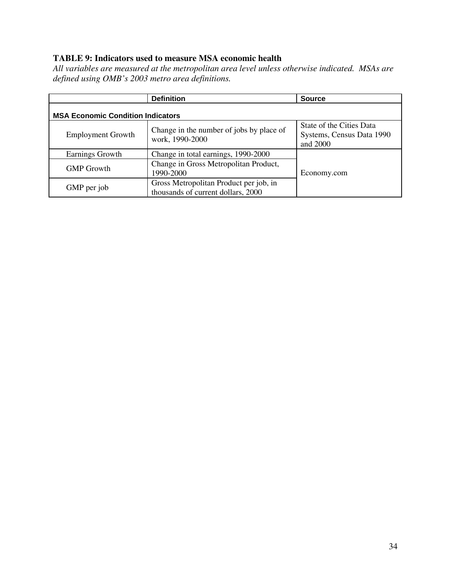## **TABLE 9: Indicators used to measure MSA economic health**

*All variables are measured at the metropolitan area level unless otherwise indicated. MSAs are defined using OMB's 2003 metro area definitions.*

|                                          | <b>Definition</b>                                                            | <b>Source</b>                                                     |  |  |
|------------------------------------------|------------------------------------------------------------------------------|-------------------------------------------------------------------|--|--|
| <b>MSA Economic Condition Indicators</b> |                                                                              |                                                                   |  |  |
| <b>Employment Growth</b>                 | Change in the number of jobs by place of<br>work, 1990-2000                  | State of the Cities Data<br>Systems, Census Data 1990<br>and 2000 |  |  |
| Earnings Growth                          | Change in total earnings, 1990-2000                                          |                                                                   |  |  |
| <b>GMP</b> Growth                        | Change in Gross Metropolitan Product,<br>1990-2000                           | Economy.com                                                       |  |  |
| GMP per job                              | Gross Metropolitan Product per job, in<br>thousands of current dollars, 2000 |                                                                   |  |  |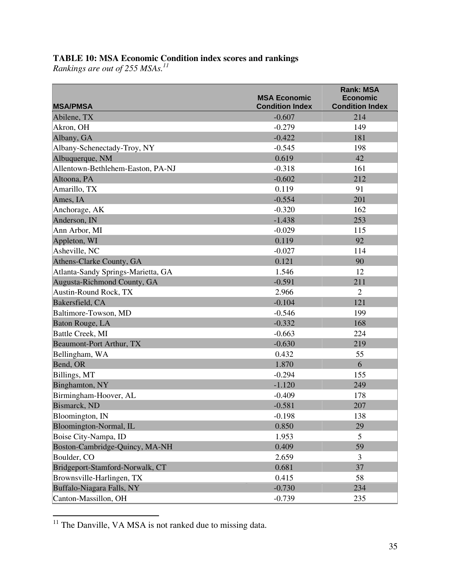#### **TABLE 10: MSA Economic Condition index scores and rankings**

*Rankings are out of 255 MSAs.11*

| <b>MSA/PMSA</b>                    | <b>MSA Economic</b><br><b>Condition Index</b> | <b>Rank: MSA</b><br><b>Economic</b><br><b>Condition Index</b> |
|------------------------------------|-----------------------------------------------|---------------------------------------------------------------|
| Abilene, TX                        | $-0.607$                                      | 214                                                           |
| Akron, OH                          | $-0.279$                                      | 149                                                           |
| Albany, GA                         | $-0.422$                                      | 181                                                           |
| Albany-Schenectady-Troy, NY        | $-0.545$                                      | 198                                                           |
| Albuquerque, NM                    | 0.619                                         | 42                                                            |
| Allentown-Bethlehem-Easton, PA-NJ  | $-0.318$                                      | 161                                                           |
| Altoona, PA                        | $-0.602$                                      | 212                                                           |
| Amarillo, TX                       | 0.119                                         | 91                                                            |
| Ames, IA                           | $-0.554$                                      | 201                                                           |
| Anchorage, AK                      | $-0.320$                                      | 162                                                           |
| Anderson, IN                       | $-1.438$                                      | 253                                                           |
| Ann Arbor, MI                      | $-0.029$                                      | 115                                                           |
| Appleton, WI                       | 0.119                                         | 92                                                            |
| Asheville, NC                      | $-0.027$                                      | 114                                                           |
| Athens-Clarke County, GA           | 0.121                                         | 90                                                            |
| Atlanta-Sandy Springs-Marietta, GA | 1.546                                         | 12                                                            |
| Augusta-Richmond County, GA        | $-0.591$                                      | 211                                                           |
| Austin-Round Rock, TX              | 2.966                                         | 2                                                             |
| Bakersfield, CA                    | $-0.104$                                      | 121                                                           |
| Baltimore-Towson, MD               | $-0.546$                                      | 199                                                           |
| Baton Rouge, LA                    | $-0.332$                                      | 168                                                           |
| Battle Creek, MI                   | $-0.663$                                      | 224                                                           |
| Beaumont-Port Arthur, TX           | $-0.630$                                      | 219                                                           |
| Bellingham, WA                     | 0.432                                         | 55                                                            |
| Bend, OR                           | 1.870                                         | 6                                                             |
| Billings, MT                       | $-0.294$                                      | 155                                                           |
| Binghamton, NY                     | $-1.120$                                      | 249                                                           |
| Birmingham-Hoover, AL              | $-0.409$                                      | 178                                                           |
| Bismarck, ND                       | $-0.581$                                      | 207                                                           |
| Bloomington, IN                    | $-0.198$                                      | 138                                                           |
| Bloomington-Normal, IL             | 0.850                                         | 29                                                            |
| Boise City-Nampa, ID               | 1.953                                         | 5                                                             |
| Boston-Cambridge-Quincy, MA-NH     | 0.409                                         | 59                                                            |
| Boulder, CO                        | 2.659                                         | $\overline{3}$                                                |
| Bridgeport-Stamford-Norwalk, CT    | 0.681                                         | 37                                                            |
| Brownsville-Harlingen, TX          | 0.415                                         | 58                                                            |
| Buffalo-Niagara Falls, NY          | $-0.730$                                      | 234                                                           |
| Canton-Massillon, OH               | $-0.739$                                      | 235                                                           |

 $11$  The Danville, VA MSA is not ranked due to missing data.

 $\overline{a}$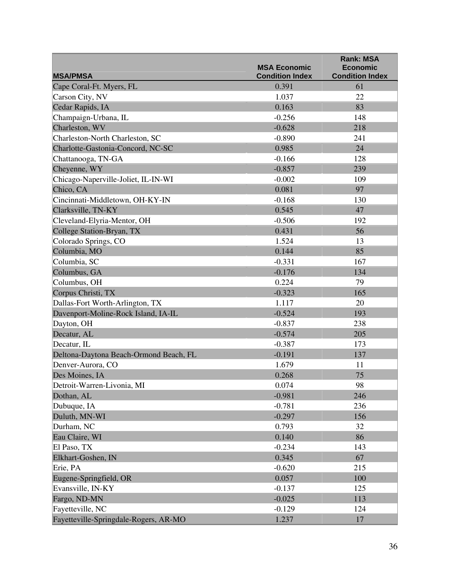|                                        |                                               | <b>Rank: MSA</b>                          |
|----------------------------------------|-----------------------------------------------|-------------------------------------------|
| <b>MSA/PMSA</b>                        | <b>MSA Economic</b><br><b>Condition Index</b> | <b>Economic</b><br><b>Condition Index</b> |
| Cape Coral-Ft. Myers, FL               | 0.391                                         | 61                                        |
| Carson City, NV                        | 1.037                                         | 22                                        |
| Cedar Rapids, IA                       | 0.163                                         | 83                                        |
| Champaign-Urbana, IL                   | $-0.256$                                      | 148                                       |
| Charleston, WV                         | $-0.628$                                      | 218                                       |
| Charleston-North Charleston, SC        | $-0.890$                                      | 241                                       |
| Charlotte-Gastonia-Concord, NC-SC      | 0.985                                         | 24                                        |
| Chattanooga, TN-GA                     | $-0.166$                                      | 128                                       |
| Cheyenne, WY                           | $-0.857$                                      | 239                                       |
|                                        |                                               |                                           |
| Chicago-Naperville-Joliet, IL-IN-WI    | $-0.002$<br>0.081                             | 109<br>97                                 |
| Chico, CA                              |                                               | 130                                       |
| Cincinnati-Middletown, OH-KY-IN        | $-0.168$                                      |                                           |
| Clarksville, TN-KY                     | 0.545                                         | 47                                        |
| Cleveland-Elyria-Mentor, OH            | $-0.506$                                      | 192                                       |
| College Station-Bryan, TX              | 0.431                                         | 56                                        |
| Colorado Springs, CO                   | 1.524                                         | 13                                        |
| Columbia, MO                           | 0.144                                         | 85                                        |
| Columbia, SC                           | $-0.331$                                      | 167                                       |
| Columbus, GA                           | $-0.176$                                      | 134                                       |
| Columbus, OH                           | 0.224                                         | 79                                        |
| Corpus Christi, TX                     | $-0.323$                                      | 165                                       |
| Dallas-Fort Worth-Arlington, TX        | 1.117                                         | 20                                        |
| Davenport-Moline-Rock Island, IA-IL    | $-0.524$                                      | 193                                       |
| Dayton, OH                             | $-0.837$                                      | 238                                       |
| Decatur, AL                            | $-0.574$                                      | 205                                       |
| Decatur, IL                            | $-0.387$                                      | 173                                       |
| Deltona-Daytona Beach-Ormond Beach, FL | $-0.191$                                      | 137                                       |
| Denver-Aurora, CO                      | 1.679                                         | 11                                        |
| Des Moines, IA                         | 0.268                                         | 75                                        |
| Detroit-Warren-Livonia, MI             | 0.074                                         | 98                                        |
| Dothan, AL                             | $-0.981$                                      | 246                                       |
| Dubuque, IA                            | $-0.781$                                      | 236                                       |
| Duluth, MN-WI                          | $-0.297$                                      | 156                                       |
| Durham, NC                             | 0.793                                         | 32                                        |
| Eau Claire, WI                         | 0.140                                         | 86                                        |
| El Paso, TX                            | $-0.234$                                      | 143                                       |
| Elkhart-Goshen, IN                     | 0.345                                         | 67                                        |
| Erie, PA                               | $-0.620$                                      | 215                                       |
| Eugene-Springfield, OR                 | 0.057                                         | 100                                       |
| Evansville, IN-KY                      | $-0.137$                                      | 125                                       |
| Fargo, ND-MN                           | $-0.025$                                      | 113                                       |
| Fayetteville, NC                       | $-0.129$                                      | 124                                       |
| Fayetteville-Springdale-Rogers, AR-MO  | 1.237                                         | 17                                        |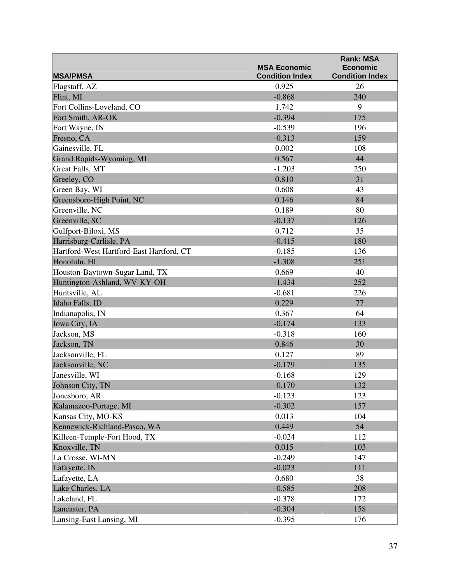|                                          | <b>MSA Economic</b>    | <b>Rank: MSA</b><br><b>Economic</b> |
|------------------------------------------|------------------------|-------------------------------------|
| <b>MSA/PMSA</b>                          | <b>Condition Index</b> | <b>Condition Index</b>              |
| Flagstaff, AZ                            | 0.925                  | 26                                  |
| Flint, MI                                | $-0.868$               | 240                                 |
| Fort Collins-Loveland, CO                | 1.742                  | 9                                   |
| Fort Smith, AR-OK                        | $-0.394$               | 175                                 |
| Fort Wayne, IN                           | $-0.539$               | 196                                 |
| Fresno, CA                               | $-0.313$               | 159                                 |
| Gainesville, FL                          | 0.002                  | 108                                 |
| Grand Rapids-Wyoming, MI                 | 0.567                  | 44                                  |
| Great Falls, MT                          | $-1.203$               | 250                                 |
| Greeley, CO                              | 0.810                  | 31                                  |
| Green Bay, WI                            | 0.608                  | 43                                  |
| Greensboro-High Point, NC                | 0.146                  | 84                                  |
| Greenville, NC                           | 0.189                  | 80                                  |
| Greenville, SC                           | $-0.137$               | 126                                 |
| Gulfport-Biloxi, MS                      | 0.712                  | 35                                  |
| Harrisburg-Carlisle, PA                  | $-0.415$               | 180                                 |
| Hartford-West Hartford-East Hartford, CT | $-0.185$               | 136                                 |
| Honolulu, HI                             | $-1.308$               | 251                                 |
| Houston-Baytown-Sugar Land, TX           | 0.669                  | 40                                  |
| Huntington-Ashland, WV-KY-OH             | $-1.434$               | 252                                 |
| Huntsville, AL                           | $-0.681$               | 226                                 |
| Idaho Falls, ID                          | 0.229                  | 77                                  |
| Indianapolis, IN                         | 0.367                  | 64                                  |
| Iowa City, IA                            | $-0.174$               | 133                                 |
| Jackson, MS                              | $-0.318$               | 160                                 |
| Jackson, TN                              | 0.846                  | 30                                  |
| Jacksonville, FL                         | 0.127                  | 89                                  |
| Jacksonville, NC                         | $-0.179$               | 135                                 |
| Janesville, WI                           | $-0.168$               | 129                                 |
| Johnson City, TN                         | $-0.170$               | 132                                 |
| Jonesboro, AR                            | $-0.123$               | 123                                 |
| Kalamazoo-Portage, MI                    | $-0.302$               | 157                                 |
| Kansas City, MO-KS                       | 0.013                  | 104                                 |
| Kennewick-Richland-Pasco, WA             | 0.449                  | 54                                  |
| Killeen-Temple-Fort Hood, TX             | $-0.024$               | 112                                 |
| Knoxville, TN                            | 0.015                  | 103                                 |
| La Crosse, WI-MN                         | $-0.249$               | 147                                 |
| Lafayette, IN                            | $-0.023$               | 111                                 |
| Lafayette, LA                            | 0.680                  | 38                                  |
| Lake Charles, LA                         | $-0.585$               | 208                                 |
| Lakeland, FL                             | $-0.378$               | 172                                 |
| Lancaster, PA                            | $-0.304$               | 158                                 |
| Lansing-East Lansing, MI                 | $-0.395$               | 176                                 |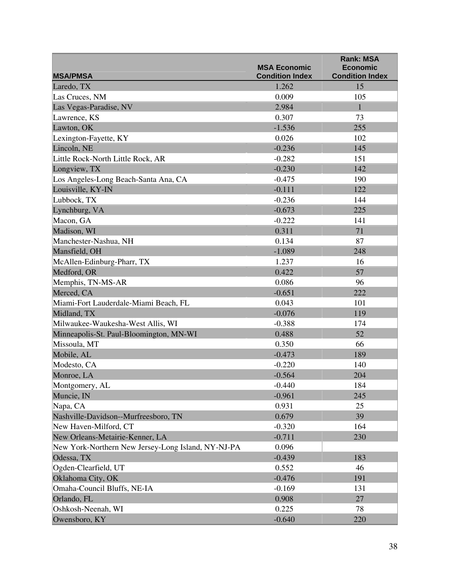|                                                    | <b>MSA Economic</b>    | <b>Rank: MSA</b><br><b>Economic</b> |
|----------------------------------------------------|------------------------|-------------------------------------|
| <b>MSA/PMSA</b>                                    | <b>Condition Index</b> | <b>Condition Index</b>              |
| Laredo, TX                                         | 1.262                  | 15                                  |
| Las Cruces, NM                                     | 0.009                  | 105                                 |
| Las Vegas-Paradise, NV                             | 2.984                  | 1                                   |
| Lawrence, KS                                       | 0.307                  | 73                                  |
| Lawton, OK                                         | $-1.536$               | 255                                 |
| Lexington-Fayette, KY                              | 0.026                  | 102                                 |
| Lincoln, NE                                        | $-0.236$               | 145                                 |
| Little Rock-North Little Rock, AR                  | $-0.282$               | 151                                 |
| Longview, TX                                       | $-0.230$               | 142                                 |
| Los Angeles-Long Beach-Santa Ana, CA               | $-0.475$               | 190                                 |
| Louisville, KY-IN                                  | $-0.111$               | 122                                 |
| Lubbock, TX                                        | $-0.236$               | 144                                 |
| Lynchburg, VA                                      | $-0.673$               | 225                                 |
| Macon, GA                                          | $-0.222$               | 141                                 |
| Madison, WI                                        | 0.311                  | 71                                  |
| Manchester-Nashua, NH                              | 0.134                  | 87                                  |
| Mansfield, OH                                      | $-1.089$               | 248                                 |
| McAllen-Edinburg-Pharr, TX                         | 1.237                  | 16                                  |
| Medford, OR                                        | 0.422                  | 57                                  |
| Memphis, TN-MS-AR                                  | 0.086                  | 96                                  |
| Merced, CA                                         | $-0.651$               | 222                                 |
| Miami-Fort Lauderdale-Miami Beach, FL              | 0.043                  | 101                                 |
| Midland, TX                                        | $-0.076$               | 119                                 |
| Milwaukee-Waukesha-West Allis, WI                  | $-0.388$               | 174                                 |
| Minneapolis-St. Paul-Bloomington, MN-WI            | 0.488                  | 52                                  |
| Missoula, MT                                       | 0.350                  | 66                                  |
| Mobile, AL                                         | $-0.473$               | 189                                 |
| Modesto, CA                                        | $-0.220$               | 140                                 |
| Monroe, LA                                         | $-0.564$               | 204                                 |
| Montgomery, AL                                     | $-0.440$               | 184                                 |
| Muncie, IN                                         | $-0.961$               | 245                                 |
| Napa, CA                                           | 0.931                  | 25                                  |
| Nashville-Davidson--Murfreesboro, TN               | 0.679                  | 39                                  |
| New Haven-Milford, CT                              | $-0.320$               | 164                                 |
| New Orleans-Metairie-Kenner, LA                    | $-0.711$               | 230                                 |
| New York-Northern New Jersey-Long Island, NY-NJ-PA | 0.096                  |                                     |
| Odessa, TX                                         | $-0.439$               | 183                                 |
| Ogden-Clearfield, UT                               | 0.552                  | 46                                  |
| Oklahoma City, OK                                  | $-0.476$               | 191                                 |
| Omaha-Council Bluffs, NE-IA                        | $-0.169$               | 131                                 |
| Orlando, FL                                        | 0.908                  | 27                                  |
| Oshkosh-Neenah, WI                                 | 0.225                  | 78                                  |
| Owensboro, KY                                      | $-0.640$               | 220                                 |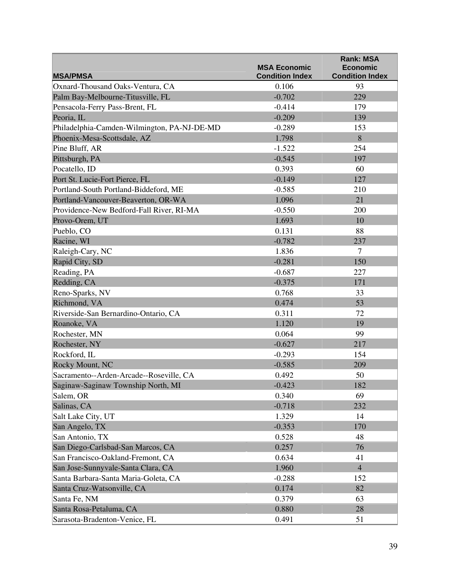|                                             | <b>MSA Economic</b>    | <b>Rank: MSA</b><br><b>Economic</b> |
|---------------------------------------------|------------------------|-------------------------------------|
| <b>MSA/PMSA</b>                             | <b>Condition Index</b> | <b>Condition Index</b>              |
| Oxnard-Thousand Oaks-Ventura, CA            | 0.106                  | 93                                  |
| Palm Bay-Melbourne-Titusville, FL           | $-0.702$               | 229                                 |
| Pensacola-Ferry Pass-Brent, FL              | $-0.414$               | 179                                 |
| Peoria, IL                                  | $-0.209$               | 139                                 |
| Philadelphia-Camden-Wilmington, PA-NJ-DE-MD | $-0.289$               | 153                                 |
| Phoenix-Mesa-Scottsdale, AZ                 | 1.798                  | 8                                   |
| Pine Bluff, AR                              | $-1.522$               | 254                                 |
| Pittsburgh, PA                              | $-0.545$               | 197                                 |
| Pocatello, ID                               | 0.393                  | 60                                  |
| Port St. Lucie-Fort Pierce, FL              | $-0.149$               | 127                                 |
| Portland-South Portland-Biddeford, ME       | $-0.585$               | 210                                 |
| Portland-Vancouver-Beaverton, OR-WA         | 1.096                  | 21                                  |
| Providence-New Bedford-Fall River, RI-MA    | $-0.550$               | 200                                 |
| Provo-Orem, UT                              | 1.693                  | 10                                  |
| Pueblo, CO                                  | 0.131                  | 88                                  |
| Racine, WI                                  | $-0.782$               | 237                                 |
| Raleigh-Cary, NC                            | 1.836                  | 7                                   |
| Rapid City, SD                              | $-0.281$               | 150                                 |
| Reading, PA                                 | $-0.687$               | 227                                 |
| Redding, CA                                 | $-0.375$               | 171                                 |
| Reno-Sparks, NV                             | 0.768                  | 33                                  |
| Richmond, VA                                | 0.474                  | 53                                  |
| Riverside-San Bernardino-Ontario, CA        | 0.311                  | 72                                  |
| Roanoke, VA                                 | 1.120                  | 19                                  |
| Rochester, MN                               | 0.064                  | 99                                  |
| Rochester, NY                               | $-0.627$               | 217                                 |
| Rockford, IL                                | $-0.293$               | 154                                 |
| Rocky Mount, NC                             | $-0.585$               | 209                                 |
| Sacramento--Arden-Arcade--Roseville, CA     | 0.492                  | 50                                  |
| Saginaw-Saginaw Township North, MI          | $-0.423$               | 182                                 |
| Salem, OR                                   | 0.340                  | 69                                  |
| Salinas, CA                                 | $-0.718$               | 232                                 |
| Salt Lake City, UT                          | 1.329                  | 14                                  |
| San Angelo, TX                              | $-0.353$               | 170                                 |
| San Antonio, TX                             | 0.528                  | 48                                  |
| San Diego-Carlsbad-San Marcos, CA           | 0.257                  | 76                                  |
| San Francisco-Oakland-Fremont, CA           | 0.634                  | 41                                  |
| San Jose-Sunnyvale-Santa Clara, CA          | 1.960                  | $\overline{4}$                      |
| Santa Barbara-Santa Maria-Goleta, CA        | $-0.288$               | 152                                 |
| Santa Cruz-Watsonville, CA                  | 0.174                  | 82                                  |
| Santa Fe, NM                                | 0.379                  | 63                                  |
| Santa Rosa-Petaluma, CA                     | 0.880                  | 28                                  |
| Sarasota-Bradenton-Venice, FL               | 0.491                  | 51                                  |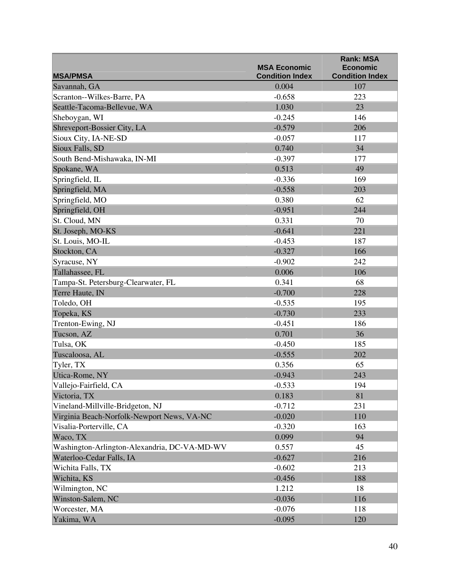| <b>MSA/PMSA</b>                              | <b>MSA Economic</b><br><b>Condition Index</b> | <b>Rank: MSA</b><br><b>Economic</b><br><b>Condition Index</b> |
|----------------------------------------------|-----------------------------------------------|---------------------------------------------------------------|
| Savannah, GA                                 | 0.004                                         | 107                                                           |
| Scranton--Wilkes-Barre, PA                   | $-0.658$                                      | 223                                                           |
| Seattle-Tacoma-Bellevue, WA                  | 1.030                                         | 23                                                            |
| Sheboygan, WI                                | $-0.245$                                      | 146                                                           |
| Shreveport-Bossier City, LA                  | $-0.579$                                      | 206                                                           |
| Sioux City, IA-NE-SD                         | $-0.057$                                      | 117                                                           |
| Sioux Falls, SD                              | 0.740                                         | 34                                                            |
| South Bend-Mishawaka, IN-MI                  | $-0.397$                                      | 177                                                           |
| Spokane, WA                                  | 0.513                                         | 49                                                            |
| Springfield, IL                              | $-0.336$                                      | 169                                                           |
| Springfield, MA                              | $-0.558$                                      | 203                                                           |
| Springfield, MO                              | 0.380                                         | 62                                                            |
| Springfield, OH                              | $-0.951$                                      | 244                                                           |
| St. Cloud, MN                                | 0.331                                         | 70                                                            |
| St. Joseph, MO-KS                            | $-0.641$                                      | 221                                                           |
| St. Louis, MO-IL                             | $-0.453$                                      | 187                                                           |
| Stockton, CA                                 | $-0.327$                                      | 166                                                           |
| Syracuse, NY                                 | $-0.902$                                      | 242                                                           |
| Tallahassee, FL                              | 0.006                                         | 106                                                           |
| Tampa-St. Petersburg-Clearwater, FL          | 0.341                                         | 68                                                            |
| Terre Haute, IN                              | $-0.700$                                      | 228                                                           |
| Toledo, OH                                   | $-0.535$                                      | 195                                                           |
| Topeka, KS                                   | $-0.730$                                      | 233                                                           |
| Trenton-Ewing, NJ                            | $-0.451$                                      | 186                                                           |
| Tucson, AZ                                   | 0.701                                         | 36                                                            |
| Tulsa, OK                                    | $-0.450$                                      | 185                                                           |
| Tuscaloosa, AL                               | $-0.555$                                      | 202                                                           |
| Tyler, TX                                    | 0.356                                         | 65                                                            |
| Utica-Rome, NY                               | $-0.943$                                      | 243                                                           |
| Vallejo-Fairfield, CA                        | $-0.533$                                      | 194                                                           |
| Victoria, TX                                 | 0.183                                         | 81                                                            |
| Vineland-Millville-Bridgeton, NJ             | $-0.712$                                      | 231                                                           |
| Virginia Beach-Norfolk-Newport News, VA-NC   | $-0.020$                                      | 110                                                           |
| Visalia-Porterville, CA                      | $-0.320$                                      | 163                                                           |
| Waco, TX                                     | 0.099                                         | 94                                                            |
| Washington-Arlington-Alexandria, DC-VA-MD-WV | 0.557                                         | 45                                                            |
| Waterloo-Cedar Falls, IA                     | $-0.627$                                      | 216                                                           |
| Wichita Falls, TX                            | $-0.602$                                      | 213                                                           |
| Wichita, KS                                  | $-0.456$                                      | 188                                                           |
| Wilmington, NC                               | 1.212                                         | 18                                                            |
| Winston-Salem, NC                            | $-0.036$                                      | 116                                                           |
| Worcester, MA                                | $-0.076$                                      | 118                                                           |
| Yakima, WA                                   | $-0.095$                                      | 120                                                           |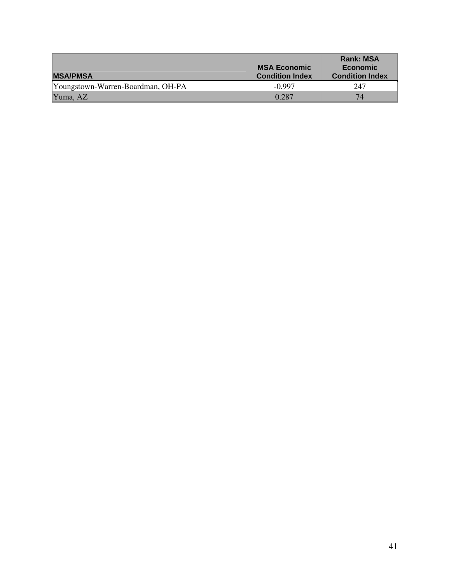| <b>MSA/PMSA</b>                   | <b>MSA Economic</b><br><b>Condition Index</b> | <b>Rank: MSA</b><br><b>Economic</b><br><b>Condition Index</b> |
|-----------------------------------|-----------------------------------------------|---------------------------------------------------------------|
| Youngstown-Warren-Boardman, OH-PA | $-0.997$                                      | 247                                                           |
| Yuma, AZ                          | 0.287                                         | 74                                                            |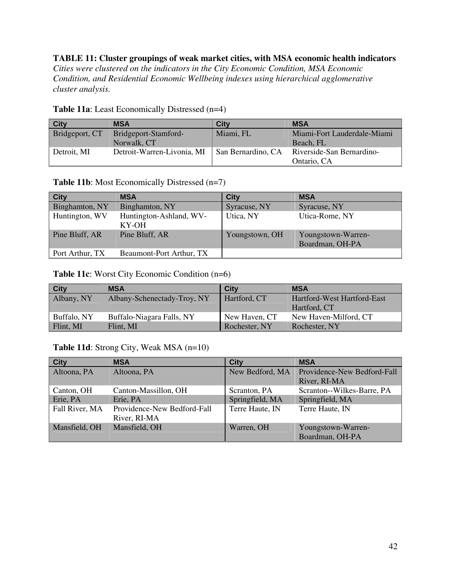**TABLE 11: Cluster groupings of weak market cities, with MSA economic health indicators**  *Cities were clustered on the indicators in the City Economic Condition, MSA Economic Condition, and Residential Economic Wellbeing indexes using hierarchical agglomerative cluster analysis.* 

| <b>City</b>    | <b>MSA</b>                 | City               | <b>MSA</b>                  |
|----------------|----------------------------|--------------------|-----------------------------|
| Bridgeport, CT | Bridgeport-Stamford-       | Miami, FL          | Miami-Fort Lauderdale-Miami |
|                | Norwalk, CT                |                    | Beach, FL                   |
| Detroit, MI    | Detroit-Warren-Livonia, MI | San Bernardino, CA | Riverside-San Bernardino-   |
|                |                            |                    | Ontario, CA                 |

**Table 11a**: Least Economically Distressed (n=4)

### **Table 11b**: Most Economically Distressed (n=7)

| <b>City</b>     | <b>MSA</b>                       | <b>City</b>    | <b>MSA</b>                            |
|-----------------|----------------------------------|----------------|---------------------------------------|
| Binghamton, NY  | Binghamton, NY                   | Syracuse, NY   | Syracuse, NY                          |
| Huntington, WV  | Huntington-Ashland, WV-<br>KY-OH | Utica, NY      | Utica-Rome, NY                        |
| Pine Bluff, AR  | Pine Bluff, AR                   | Youngstown, OH | Youngstown-Warren-<br>Boardman, OH-PA |
| Port Arthur, TX | Beaumont-Port Arthur, TX         |                |                                       |

### **Table 11c**: Worst City Economic Condition (n=6)

| <b>City</b> | <b>MSA</b>                  | City          | <b>MSA</b>                  |
|-------------|-----------------------------|---------------|-----------------------------|
| Albany, NY  | Albany-Schenectady-Troy, NY | Hartford, CT  | Hartford-West Hartford-East |
|             |                             |               | Hartford, CT                |
| Buffalo, NY | Buffalo-Niagara Falls, NY   | New Haven, CT | New Haven-Milford, CT       |
| Flint, MI   | Flint, MI                   | Rochester, NY | Rochester, NY               |

## **Table 11d**: Strong City, Weak MSA (n=10)

| <b>City</b>    | <b>MSA</b>                  | <b>City</b>     | <b>MSA</b>                  |
|----------------|-----------------------------|-----------------|-----------------------------|
| Altoona, PA    | Altoona, PA                 | New Bedford, MA | Providence-New Bedford-Fall |
|                |                             |                 | River, RI-MA                |
| Canton, OH     | Canton-Massillon, OH        | Scranton, PA    | Scranton--Wilkes-Barre, PA  |
| Erie, PA       | Erie, PA                    | Springfield, MA | Springfield, MA             |
| Fall River, MA | Providence-New Bedford-Fall | Terre Haute, IN | Terre Haute, IN             |
|                | River, RI-MA                |                 |                             |
| Mansfield, OH  | Mansfield, OH               | Warren, OH      | Youngstown-Warren-          |
|                |                             |                 | Boardman, OH-PA             |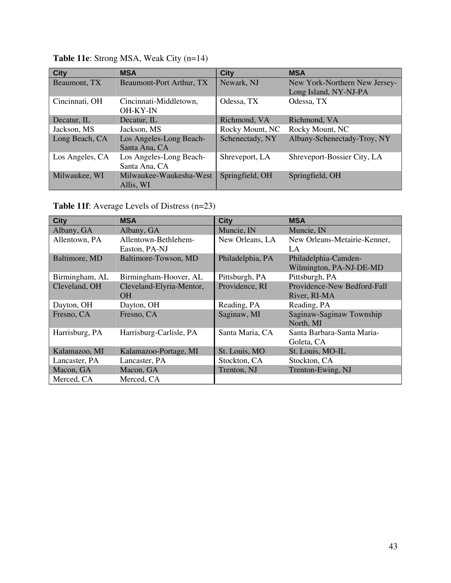| <b>City</b>     | <b>MSA</b>               | <b>City</b>     | <b>MSA</b>                    |
|-----------------|--------------------------|-----------------|-------------------------------|
| Beaumont, TX    | Beaumont-Port Arthur, TX | Newark, NJ      | New York-Northern New Jersey- |
|                 |                          |                 | Long Island, NY-NJ-PA         |
| Cincinnati, OH  | Cincinnati-Middletown,   | Odessa, TX      | Odessa, TX                    |
|                 | <b>OH-KY-IN</b>          |                 |                               |
| Decatur, IL     | Decatur, IL              | Richmond, VA    | Richmond, VA                  |
| Jackson, MS     | Jackson, MS              | Rocky Mount, NC | Rocky Mount, NC               |
| Long Beach, CA  | Los Angeles-Long Beach-  | Schenectady, NY | Albany-Schenectady-Troy, NY   |
|                 | Santa Ana, CA            |                 |                               |
| Los Angeles, CA | Los Angeles-Long Beach-  | Shreveport, LA  | Shreveport-Bossier City, LA   |
|                 | Santa Ana, CA            |                 |                               |
| Milwaukee, WI   | Milwaukee-Waukesha-West  | Springfield, OH | Springfield, OH               |
|                 | Allis, WI                |                 |                               |

**Table 11e**: Strong MSA, Weak City (n=14)

**Table 11f**: Average Levels of Distress (n=23)

| <b>City</b>    | <b>MSA</b>               | <b>City</b>      | <b>MSA</b>                            |
|----------------|--------------------------|------------------|---------------------------------------|
| Albany, GA     | Albany, GA               | Muncie, IN       | Muncie, IN                            |
| Allentown, PA  | Allentown-Bethlehem-     | New Orleans, LA  | New Orleans-Metairie-Kenner,          |
|                | Easton, PA-NJ            |                  | LA                                    |
| Baltimore, MD  | Baltimore-Towson, MD     | Philadelphia, PA | Philadelphia-Camden-                  |
|                |                          |                  | Wilmington, PA-NJ-DE-MD               |
| Birmingham, AL | Birmingham-Hoover, AL    | Pittsburgh, PA   | Pittsburgh, PA                        |
| Cleveland, OH  | Cleveland-Elyria-Mentor, | Providence, RI   | Providence-New Bedford-Fall           |
|                | OH                       |                  | River, RI-MA                          |
| Dayton, OH     | Dayton, OH               | Reading, PA      | Reading, PA                           |
| Fresno, CA     | Fresno, CA               | Saginaw, MI      | Saginaw-Saginaw Township<br>North, MI |
| Harrisburg, PA | Harrisburg-Carlisle, PA  | Santa Maria, CA  | Santa Barbara-Santa Maria-            |
|                |                          |                  | Goleta, CA                            |
| Kalamazoo, MI  | Kalamazoo-Portage, MI    | St. Louis, MO    | St. Louis, MO-IL                      |
| Lancaster, PA  | Lancaster, PA            | Stockton, CA     | Stockton, CA                          |
| Macon, GA      | Macon, GA                | Trenton, NJ      | Trenton-Ewing, NJ                     |
| Merced, CA     | Merced, CA               |                  |                                       |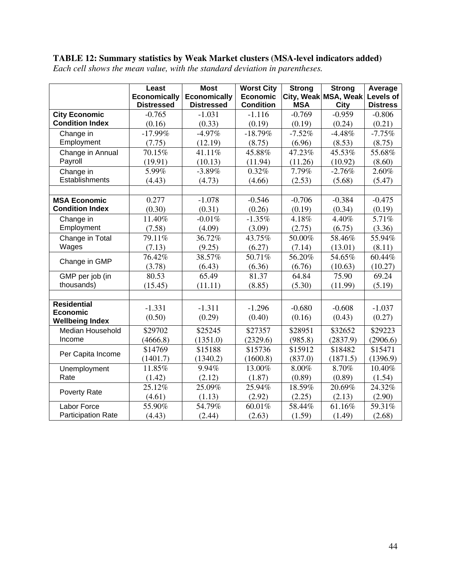# **TABLE 12: Summary statistics by Weak Market clusters (MSA-level indicators added)**

|                            | Least<br><b>Economically</b> | <b>Most</b><br><b>Economically</b> | <b>Worst City</b><br><b>Economic</b> | <b>Strong</b> | <b>Strong</b><br>City, Weak MSA, Weak | Average<br>Levels of |
|----------------------------|------------------------------|------------------------------------|--------------------------------------|---------------|---------------------------------------|----------------------|
|                            | <b>Distressed</b>            | <b>Distressed</b>                  | <b>Condition</b>                     | <b>MSA</b>    | City                                  | <b>Distress</b>      |
| <b>City Economic</b>       | $-0.765$                     | $-1.031$                           | $-1.116$                             | $-0.769$      | $-0.959$                              | $-0.806$             |
| <b>Condition Index</b>     | (0.16)                       | (0.33)                             | (0.19)                               | (0.19)        | (0.24)                                | (0.21)               |
| Change in                  | $-17.99%$                    | $-4.97\%$                          | $-18.79%$                            | $-7.52%$      | $-4.48%$                              | $-7.75%$             |
| Employment                 | (7.75)                       | (12.19)                            | (8.75)                               | (6.96)        | (8.53)                                | (8.75)               |
| Change in Annual           | 70.15%                       | 41.11%                             | 45.88%                               | 47.23%        | 45.53%                                | 55.68%               |
| Payroll                    | (19.91)                      | (10.13)                            | (11.94)                              | (11.26)       | (10.92)                               | (8.60)               |
| Change in                  | 5.99%                        | $-3.89%$                           | 0.32%                                | 7.79%         | $-2.76%$                              | 2.60%                |
| Establishments             | (4.43)                       | (4.73)                             | (4.66)                               | (2.53)        | (5.68)                                | (5.47)               |
|                            |                              |                                    |                                      |               |                                       |                      |
| <b>MSA Economic</b>        | 0.277                        | $-1.078$                           | $-0.546$                             | $-0.706$      | $-0.384$                              | $-0.475$             |
| <b>Condition Index</b>     | (0.30)                       | (0.31)                             | (0.26)                               | (0.19)        | (0.34)                                | (0.19)               |
| Change in                  | 11.40%                       | $-0.01%$                           | $-1.35%$                             | 4.18%         | 4.40%                                 | 5.71%                |
| Employment                 | (7.58)                       | (4.09)                             | (3.09)                               | (2.75)        | (6.75)                                | (3.36)               |
| Change in Total            | 79.11%                       | 36.72%                             | 43.75%                               | 50.00%        | 58.46%                                | 55.94%               |
| Wages                      | (7.13)                       | (9.25)                             | (6.27)                               | (7.14)        | (13.01)                               | (8.11)               |
| Change in GMP              | 76.42%                       | 38.57%                             | 50.71%                               | 56.20%        | 54.65%                                | 60.44%               |
|                            | (3.78)                       | (6.43)                             | (6.36)                               | (6.76)        | (10.63)                               | (10.27)              |
| GMP per job (in            | 80.53                        | 65.49                              | 81.37                                | 64.84         | 75.90                                 | 69.24                |
| thousands)                 | (15.45)                      | (11.11)                            | (8.85)                               | (5.30)        | (11.99)                               | (5.19)               |
|                            |                              |                                    |                                      |               |                                       |                      |
| <b>Residential</b>         | $-1.331$                     | $-1.311$                           | $-1.296$                             | $-0.680$      | $-0.608$                              | $-1.037$             |
| <b>Economic</b>            | (0.50)                       | (0.29)                             | (0.40)                               | (0.16)        | (0.43)                                | (0.27)               |
| <b>Wellbeing Index</b>     |                              |                                    |                                      |               |                                       |                      |
| Median Household<br>Income | \$29702                      | \$25245                            | \$27357                              | \$28951       | \$32652                               | \$29223              |
|                            | (4666.8)                     | (1351.0)                           | (2329.6)                             | (985.8)       | (2837.9)                              | (2906.6)             |
| Per Capita Income          | \$14769                      | \$15188                            | \$15736                              | \$15912       | \$18482                               | \$15471              |
|                            | (1401.7)                     | (1340.2)                           | (1600.8)                             | (837.0)       | (1871.5)                              | (1396.9)             |
| Unemployment<br>Rate       | 11.85%                       | 9.94%                              | 13.00%                               | 8.00%         | 8.70%                                 | 10.40%               |
|                            | (1.42)                       | (2.12)                             | (1.87)                               | (0.89)        | (0.89)                                | (1.54)               |
| Poverty Rate               | 25.12%                       | 25.09%                             | 25.94%                               | 18.59%        | 20.69%                                | 24.32%               |
|                            | (4.61)                       | (1.13)                             | (2.92)                               | (2.25)        | (2.13)                                | (2.90)               |
| Labor Force                | 55.90%                       | 54.79%                             | 60.01%                               | 58.44%        | 61.16%                                | 59.31%               |
| <b>Participation Rate</b>  | (4.43)                       | (2.44)                             | (2.63)                               | (1.59)        | (1.49)                                | (2.68)               |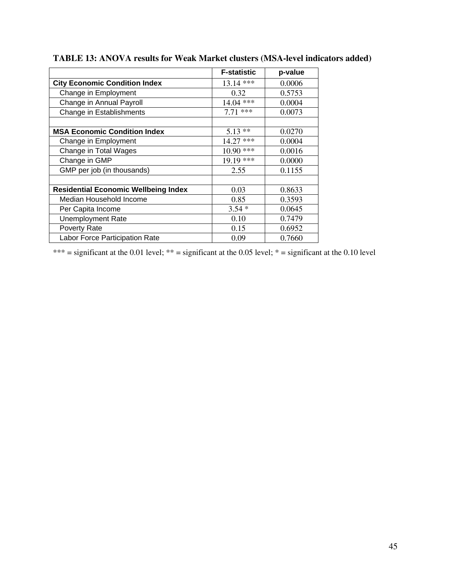|                                             | <b>F-statistic</b> | p-value |
|---------------------------------------------|--------------------|---------|
| <b>City Economic Condition Index</b>        | $13.14$ ***        | 0.0006  |
| Change in Employment                        | 0.32               | 0.5753  |
| Change in Annual Payroll                    | 14.04 ***          | 0.0004  |
| Change in Establishments                    | $7.71$ ***         | 0.0073  |
|                                             |                    |         |
| <b>MSA Economic Condition Index</b>         | 5.13<br>$***$      | 0.0270  |
| Change in Employment                        | ***<br>14.27       | 0.0004  |
| Change in Total Wages                       | $10.90$ ***        | 0.0016  |
| Change in GMP                               | $19.19$ ***        | 0.0000  |
| GMP per job (in thousands)                  | 2.55               | 0.1155  |
|                                             |                    |         |
| <b>Residential Economic Wellbeing Index</b> | 0.03               | 0.8633  |
| Median Household Income                     | 0.85               | 0.3593  |
| Per Capita Income                           | $3.54*$            | 0.0645  |
| <b>Unemployment Rate</b>                    | 0.10               | 0.7479  |
| Poverty Rate                                | 0.15               | 0.6952  |
| Labor Force Participation Rate              | 0.09               | 0.7660  |

# **TABLE 13: ANOVA results for Weak Market clusters (MSA-level indicators added)**

\*\*\* = significant at the 0.01 level; \*\* = significant at the 0.05 level; \* = significant at the 0.10 level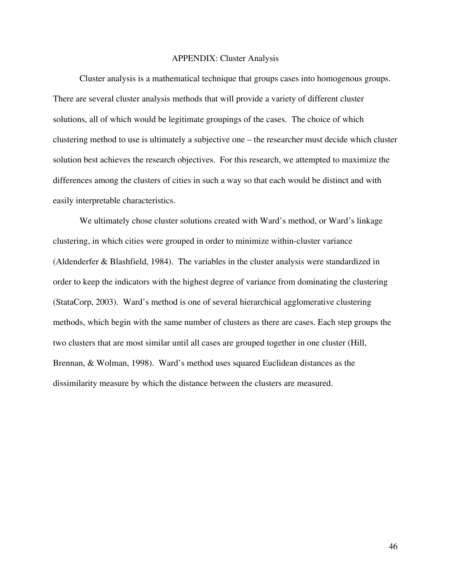#### APPENDIX: Cluster Analysis

 Cluster analysis is a mathematical technique that groups cases into homogenous groups. There are several cluster analysis methods that will provide a variety of different cluster solutions, all of which would be legitimate groupings of the cases. The choice of which clustering method to use is ultimately a subjective one – the researcher must decide which cluster solution best achieves the research objectives. For this research, we attempted to maximize the differences among the clusters of cities in such a way so that each would be distinct and with easily interpretable characteristics.

 We ultimately chose cluster solutions created with Ward's method, or Ward's linkage clustering, in which cities were grouped in order to minimize within-cluster variance (Aldenderfer & Blashfield, 1984). The variables in the cluster analysis were standardized in order to keep the indicators with the highest degree of variance from dominating the clustering (StataCorp, 2003). Ward's method is one of several hierarchical agglomerative clustering methods, which begin with the same number of clusters as there are cases. Each step groups the two clusters that are most similar until all cases are grouped together in one cluster (Hill, Brennan, & Wolman, 1998). Ward's method uses squared Euclidean distances as the dissimilarity measure by which the distance between the clusters are measured.